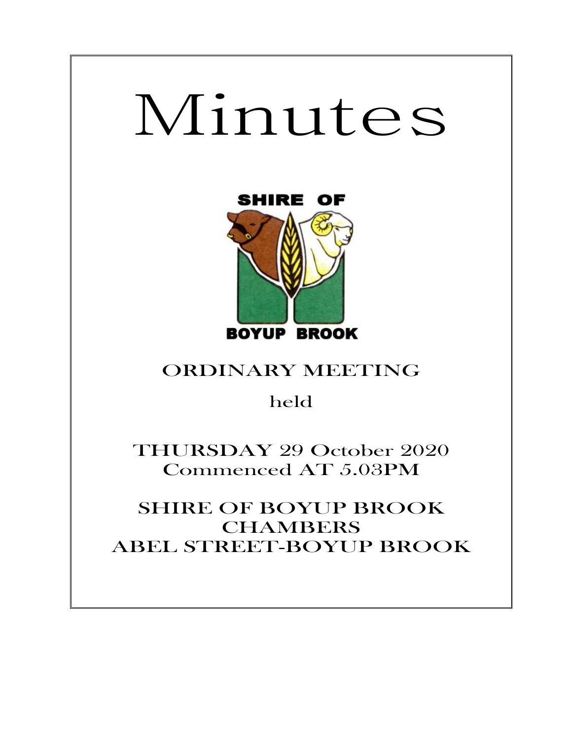# Minutes

Ξ



# ORDINARY MEETING

held

THURSDAY 29 October 2020 Commenced AT 5.03PM

SHIRE OF BOYUP BROOK **CHAMBERS** ABEL STREET-BOYUP BROOK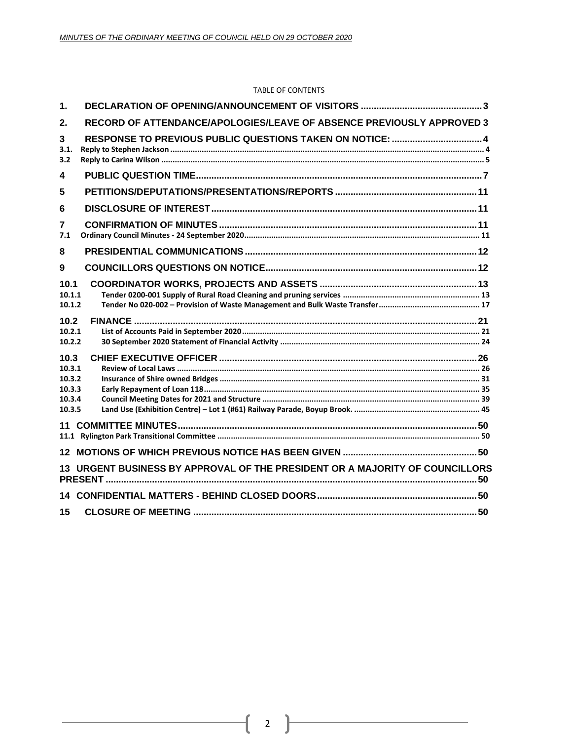## TABLE OF CONTENTS

| $\mathbf 1$                                                                  |  |
|------------------------------------------------------------------------------|--|
| RECORD OF ATTENDANCE/APOLOGIES/LEAVE OF ABSENCE PREVIOUSLY APPROVED 3<br>2.  |  |
| 3<br>3.1.<br>3.2                                                             |  |
| 4                                                                            |  |
| 5                                                                            |  |
| 6                                                                            |  |
| 7<br>7.1                                                                     |  |
| 8                                                                            |  |
| 9                                                                            |  |
| 10.1<br>10.1.1<br>10.1.2                                                     |  |
| 10.2<br>10.2.1<br>10.2.2                                                     |  |
| 10.3<br>10.3.1<br>10.3.2<br>10.3.3<br>10.3.4<br>10.3.5                       |  |
| 11                                                                           |  |
|                                                                              |  |
| 13 URGENT BUSINESS BY APPROVAL OF THE PRESIDENT OR A MAJORITY OF COUNCILLORS |  |
|                                                                              |  |
| 15                                                                           |  |

ſ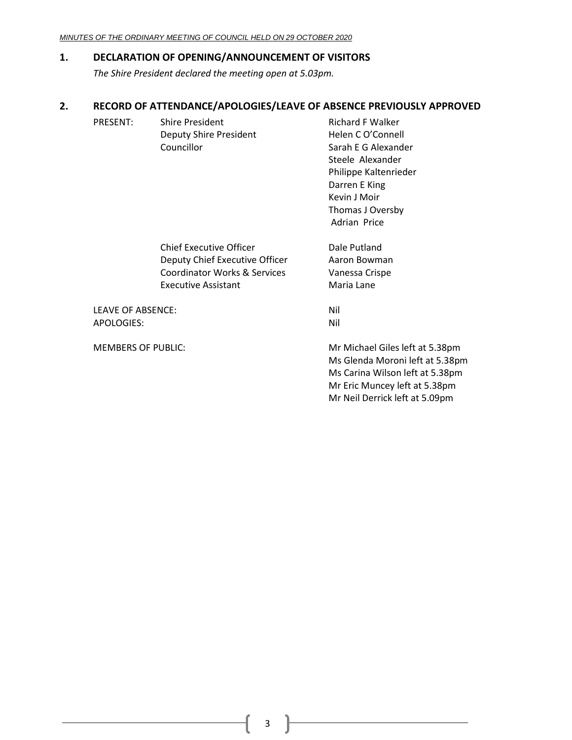## <span id="page-2-0"></span>**1. DECLARATION OF OPENING/ANNOUNCEMENT OF VISITORS**

*The Shire President declared the meeting open at 5.03pm.*

## <span id="page-2-1"></span>**2. RECORD OF ATTENDANCE/APOLOGIES/LEAVE OF ABSENCE PREVIOUSLY APPROVED**

| PRESENT: | Shire President        | <b>Richard F Walker</b> |
|----------|------------------------|-------------------------|
|          | Deputy Shire President | Helen C O'Connell       |
|          | Councillor             | Sarah E G Alexander     |
|          |                        | Steele Alexander        |
|          |                        | Philippe Kaltenrieder   |
|          |                        | Darren E King           |
|          |                        | Kevin J Moir            |

Chief Executive Officer **Dale Putland** Deputy Chief Executive Officer Aaron Bowman Coordinator Works & Services Vanessa Crispe Executive Assistant Maria Lane

LEAVE OF ABSENCE: Nil APOLOGIES: Nil

MEMBERS OF PUBLIC: Mr Michael Giles left at 5.38pm Ms Glenda Moroni left at 5.38pm Ms Carina Wilson left at 5.38pm Mr Eric Muncey left at 5.38pm Mr Neil Derrick left at 5.09pm

Thomas J Oversby Adrian Price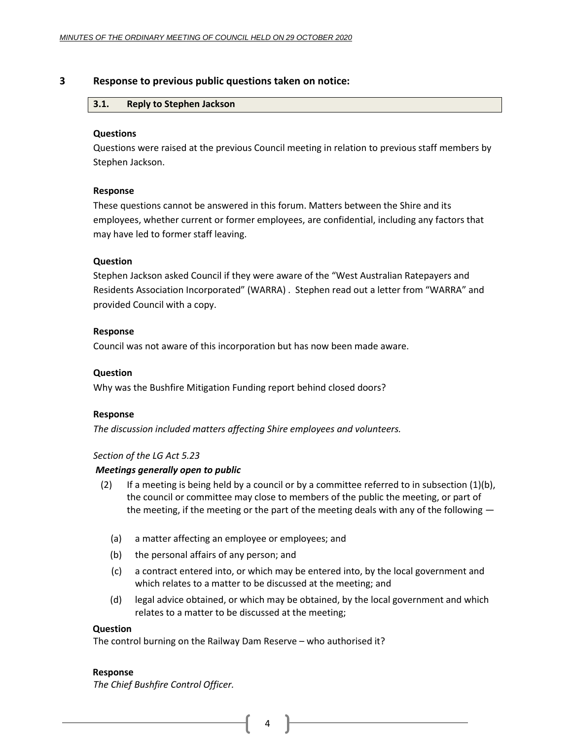## <span id="page-3-1"></span><span id="page-3-0"></span>**3 Response to previous public questions taken on notice:**

## **3.1. Reply to Stephen Jackson**

## **Questions**

Questions were raised at the previous Council meeting in relation to previous staff members by Stephen Jackson.

## **Response**

These questions cannot be answered in this forum. Matters between the Shire and its employees, whether current or former employees, are confidential, including any factors that may have led to former staff leaving.

## **Question**

Stephen Jackson asked Council if they were aware of the "West Australian Ratepayers and Residents Association Incorporated" (WARRA) . Stephen read out a letter from "WARRA" and provided Council with a copy.

## **Response**

Council was not aware of this incorporation but has now been made aware.

## **Question**

Why was the Bushfire Mitigation Funding report behind closed doors?

## **Response**

*The discussion included matters affecting Shire employees and volunteers.*

## *Section of the LG Act 5.23*

## *Meetings generally open to public*

- (2) If a meeting is being held by a council or by a committee referred to in subsection  $(1)(b)$ , the council or committee may close to members of the public the meeting, or part of the meeting, if the meeting or the part of the meeting deals with any of the following —
	- (a) a matter affecting an employee or employees; and
	- (b) the personal affairs of any person; and
	- (c) a contract entered into, or which may be entered into, by the local government and which relates to a matter to be discussed at the meeting; and
	- (d) legal advice obtained, or which may be obtained, by the local government and which relates to a matter to be discussed at the meeting;

## **Question**

The control burning on the Railway Dam Reserve – who authorised it?

## **Response**

*The Chief Bushfire Control Officer.*

4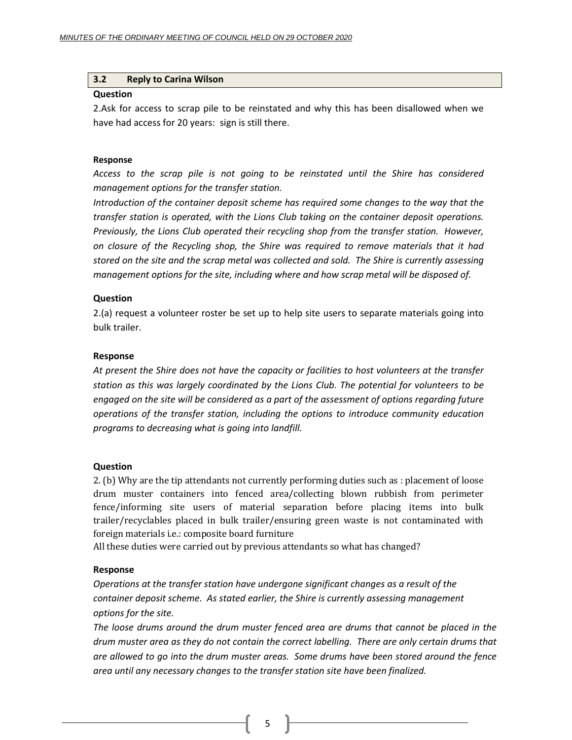## <span id="page-4-0"></span>**3.2 Reply to Carina Wilson**

## **Question**

2.Ask for access to scrap pile to be reinstated and why this has been disallowed when we have had access for 20 years: sign is still there.

## **Response**

*Access to the scrap pile is not going to be reinstated until the Shire has considered management options for the transfer station.*

*Introduction of the container deposit scheme has required some changes to the way that the transfer station is operated, with the Lions Club taking on the container deposit operations. Previously, the Lions Club operated their recycling shop from the transfer station. However, on closure of the Recycling shop, the Shire was required to remove materials that it had stored on the site and the scrap metal was collected and sold. The Shire is currently assessing management options for the site, including where and how scrap metal will be disposed of.* 

## **Question**

2.(a) request a volunteer roster be set up to help site users to separate materials going into bulk trailer.

## **Response**

*At present the Shire does not have the capacity or facilities to host volunteers at the transfer station as this was largely coordinated by the Lions Club. The potential for volunteers to be engaged on the site will be considered as a part of the assessment of options regarding future operations of the transfer station, including the options to introduce community education programs to decreasing what is going into landfill.*

## **Question**

2. (b) Why are the tip attendants not currently performing duties such as : placement of loose drum muster containers into fenced area/collecting blown rubbish from perimeter fence/informing site users of material separation before placing items into bulk trailer/recyclables placed in bulk trailer/ensuring green waste is not contaminated with foreign materials i.e.: composite board furniture

All these duties were carried out by previous attendants so what has changed?

## **Response**

*Operations at the transfer station have undergone significant changes as a result of the container deposit scheme. As stated earlier, the Shire is currently assessing management options for the site.*

*The loose drums around the drum muster fenced area are drums that cannot be placed in the drum muster area as they do not contain the correct labelling. There are only certain drums that are allowed to go into the drum muster areas. Some drums have been stored around the fence area until any necessary changes to the transfer station site have been finalized.*

5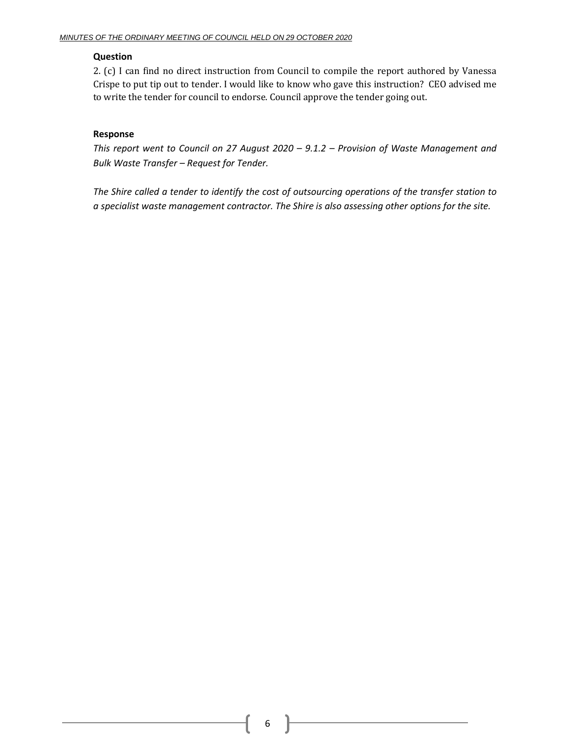## **Question**

2. (c) I can find no direct instruction from Council to compile the report authored by Vanessa Crispe to put tip out to tender. I would like to know who gave this instruction? CEO advised me to write the tender for council to endorse. Council approve the tender going out.

## **Response**

*This report went to Council on 27 August 2020 – 9.1.2 – Provision of Waste Management and Bulk Waste Transfer – Request for Tender.*

*The Shire called a tender to identify the cost of outsourcing operations of the transfer station to a specialist waste management contractor. The Shire is also assessing other options for the site.*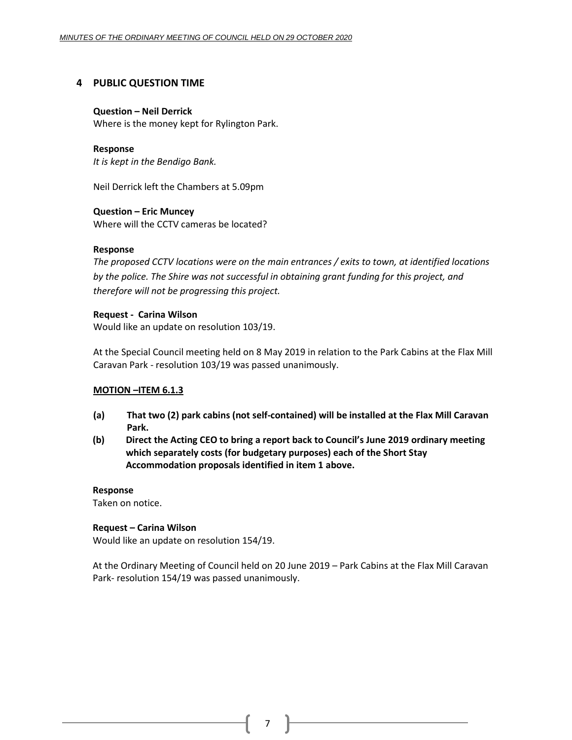## <span id="page-6-0"></span>**4 PUBLIC QUESTION TIME**

## **Question – Neil Derrick**

Where is the money kept for Rylington Park.

## **Response**

*It is kept in the Bendigo Bank.*

Neil Derrick left the Chambers at 5.09pm

## **Question – Eric Muncey**

Where will the CCTV cameras be located?

## **Response**

*The proposed CCTV locations were on the main entrances / exits to town, at identified locations by the police. The Shire was not successful in obtaining grant funding for this project, and therefore will not be progressing this project.*

## **Request - Carina Wilson**

Would like an update on resolution 103/19.

At the Special Council meeting held on 8 May 2019 in relation to the Park Cabins at the Flax Mill Caravan Park - resolution 103/19 was passed unanimously.

## **MOTION –ITEM 6.1.3**

- **(a) That two (2) park cabins (not self-contained) will be installed at the Flax Mill Caravan Park.**
- **(b) Direct the Acting CEO to bring a report back to Council's June 2019 ordinary meeting which separately costs (for budgetary purposes) each of the Short Stay Accommodation proposals identified in item 1 above.**

## **Response**

Taken on notice.

## **Request – Carina Wilson**

Would like an update on resolution 154/19.

At the Ordinary Meeting of Council held on 20 June 2019 – Park Cabins at the Flax Mill Caravan Park- resolution 154/19 was passed unanimously.

7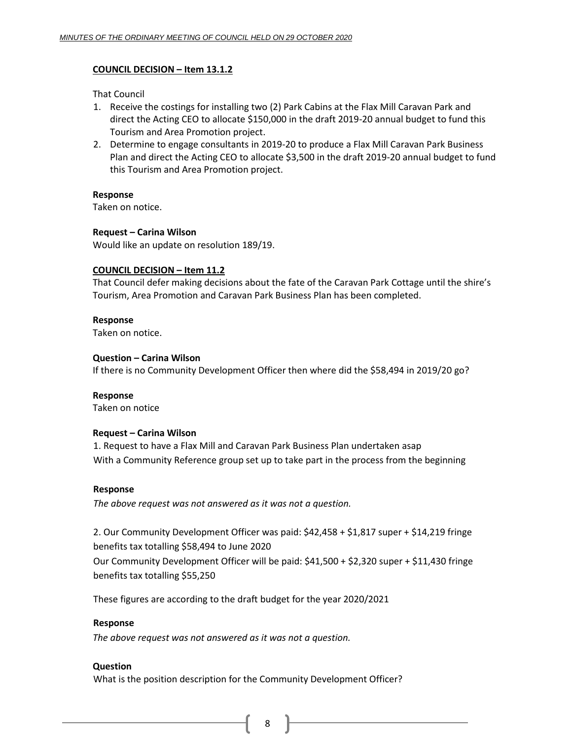## **COUNCIL DECISION – Item 13.1.2**

That Council

- 1. Receive the costings for installing two (2) Park Cabins at the Flax Mill Caravan Park and direct the Acting CEO to allocate \$150,000 in the draft 2019-20 annual budget to fund this Tourism and Area Promotion project.
- 2. Determine to engage consultants in 2019-20 to produce a Flax Mill Caravan Park Business Plan and direct the Acting CEO to allocate \$3,500 in the draft 2019-20 annual budget to fund this Tourism and Area Promotion project.

## **Response**

Taken on notice.

## **Request – Carina Wilson**

Would like an update on resolution 189/19.

## **COUNCIL DECISION – Item 11.2**

That Council defer making decisions about the fate of the Caravan Park Cottage until the shire's Tourism, Area Promotion and Caravan Park Business Plan has been completed.

## **Response**

Taken on notice.

## **Question – Carina Wilson**

If there is no Community Development Officer then where did the \$58,494 in 2019/20 go?

# **Response**

Taken on notice

## **Request – Carina Wilson**

1. Request to have a Flax Mill and Caravan Park Business Plan undertaken asap With a Community Reference group set up to take part in the process from the beginning

## **Response**

*The above request was not answered as it was not a question.*

2. Our Community Development Officer was paid: \$42,458 + \$1,817 super + \$14,219 fringe benefits tax totalling \$58,494 to June 2020

Our Community Development Officer will be paid: \$41,500 + \$2,320 super + \$11,430 fringe benefits tax totalling \$55,250

These figures are according to the draft budget for the year 2020/2021

## **Response**

*The above request was not answered as it was not a question.*

## **Question**

What is the position description for the Community Development Officer?

8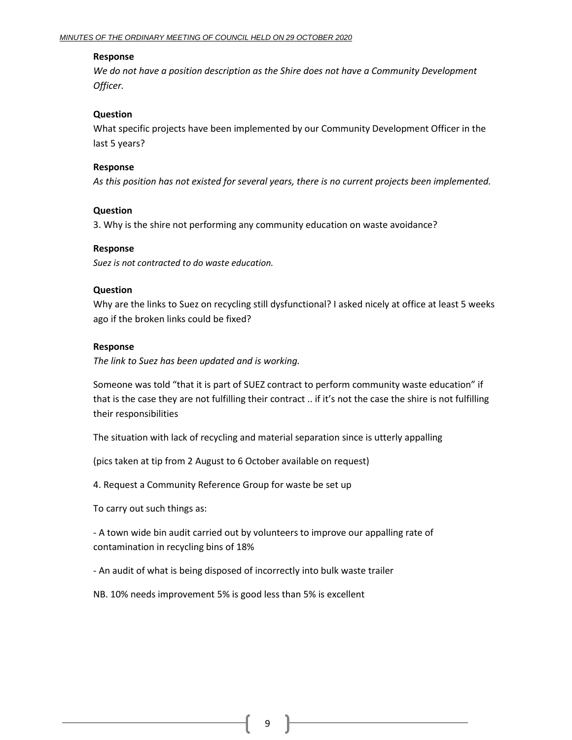## **Response**

*We do not have a position description as the Shire does not have a Community Development Officer.*

## **Question**

What specific projects have been implemented by our Community Development Officer in the last 5 years?

## **Response**

*As this position has not existed for several years, there is no current projects been implemented.*

## **Question**

3. Why is the shire not performing any community education on waste avoidance?

## **Response**

*Suez is not contracted to do waste education.*

## **Question**

Why are the links to Suez on recycling still dysfunctional? I asked nicely at office at least 5 weeks ago if the broken links could be fixed?

## **Response**

*The link to Suez has been updated and is working.*

Someone was told "that it is part of SUEZ contract to perform community waste education" if that is the case they are not fulfilling their contract .. if it's not the case the shire is not fulfilling their responsibilities

The situation with lack of recycling and material separation since is utterly appalling

(pics taken at tip from 2 August to 6 October available on request)

4. Request a Community Reference Group for waste be set up

To carry out such things as:

- A town wide bin audit carried out by volunteers to improve our appalling rate of contamination in recycling bins of 18%

- An audit of what is being disposed of incorrectly into bulk waste trailer

NB. 10% needs improvement 5% is good less than 5% is excellent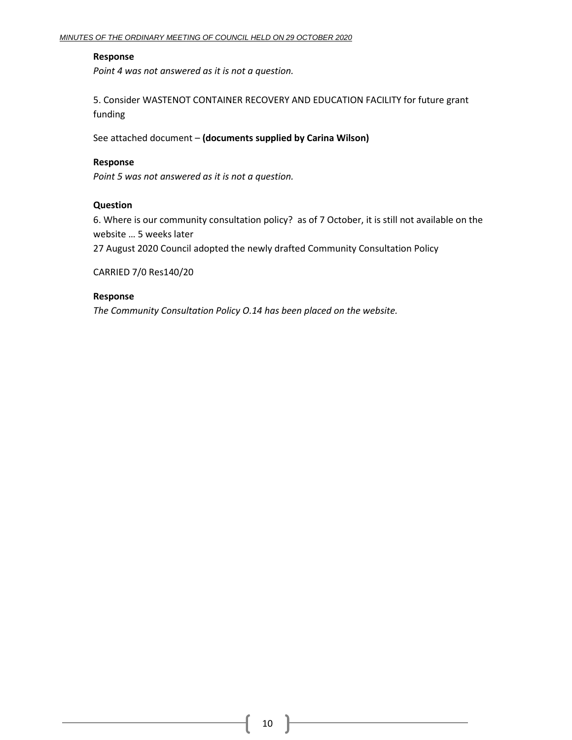## **Response**

*Point 4 was not answered as it is not a question.*

5. Consider WASTENOT CONTAINER RECOVERY AND EDUCATION FACILITY for future grant funding

See attached document – **(documents supplied by Carina Wilson)**

## **Response**

*Point 5 was not answered as it is not a question.*

## **Question**

6. Where is our community consultation policy? as of 7 October, it is still not available on the website … 5 weeks later

27 August 2020 Council adopted the newly drafted Community Consultation Policy

CARRIED 7/0 Res140/20

## **Response**

*The Community Consultation Policy O.14 has been placed on the website.*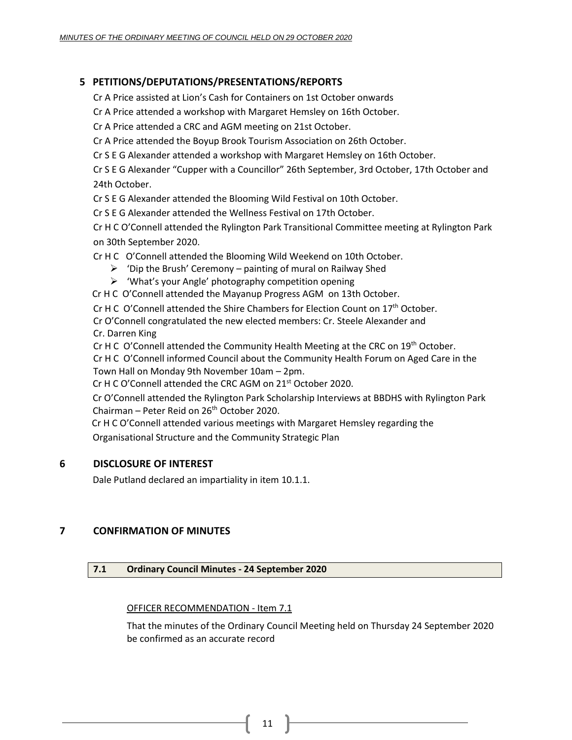## <span id="page-10-0"></span>**5 PETITIONS/DEPUTATIONS/PRESENTATIONS/REPORTS**

Cr A Price assisted at Lion's Cash for Containers on 1st October onwards

Cr A Price attended a workshop with Margaret Hemsley on 16th October.

Cr A Price attended a CRC and AGM meeting on 21st October.

Cr A Price attended the Boyup Brook Tourism Association on 26th October.

Cr S E G Alexander attended a workshop with Margaret Hemsley on 16th October.

Cr S E G Alexander "Cupper with a Councillor" 26th September, 3rd October, 17th October and 24th October.

Cr S E G Alexander attended the Blooming Wild Festival on 10th October.

Cr S E G Alexander attended the Wellness Festival on 17th October.

Cr H C O'Connell attended the Rylington Park Transitional Committee meeting at Rylington Park on 30th September 2020.

Cr H C O'Connell attended the Blooming Wild Weekend on 10th October.

- $\triangleright$  'Dip the Brush' Ceremony painting of mural on Railway Shed
- ➢ 'What's your Angle' photography competition opening

Cr H C O'Connell attended the Mayanup Progress AGM on 13th October.

Cr H C O'Connell attended the Shire Chambers for Election Count on 17<sup>th</sup> October.

Cr O'Connell congratulated the new elected members: Cr. Steele Alexander and Cr. Darren King

Cr H C O'Connell attended the Community Health Meeting at the CRC on 19<sup>th</sup> October.

Cr H C O'Connell informed Council about the Community Health Forum on Aged Care in the Town Hall on Monday 9th November 10am – 2pm.

Cr H C O'Connell attended the CRC AGM on 21<sup>st</sup> October 2020.

Cr O'Connell attended the Rylington Park Scholarship Interviews at BBDHS with Rylington Park Chairman – Peter Reid on  $26<sup>th</sup>$  October 2020.

 Cr H C O'Connell attended various meetings with Margaret Hemsley regarding the Organisational Structure and the Community Strategic Plan

## <span id="page-10-1"></span>**6 DISCLOSURE OF INTEREST**

Dale Putland declared an impartiality in item 10.1.1.

## <span id="page-10-3"></span><span id="page-10-2"></span>**7 CONFIRMATION OF MINUTES**

## **7.1 Ordinary Council Minutes - 24 September 2020**

## OFFICER RECOMMENDATION - Item 7.1

That the minutes of the Ordinary Council Meeting held on Thursday 24 September 2020 be confirmed as an accurate record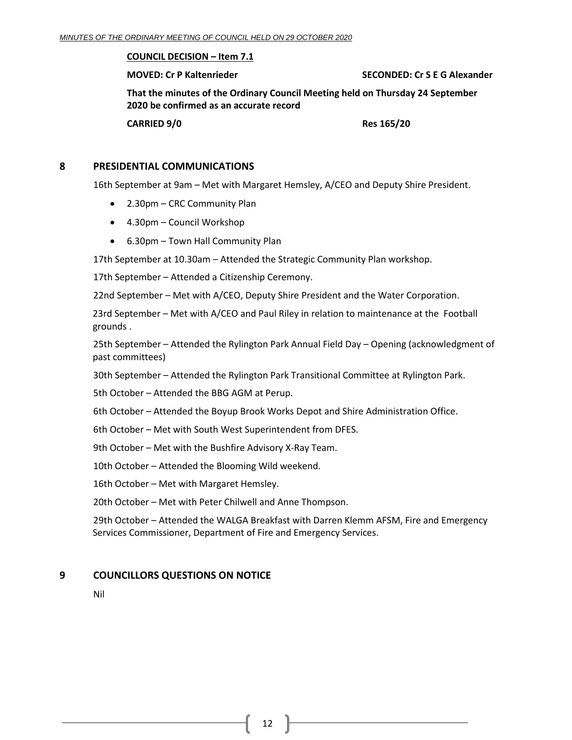## **COUNCIL DECISION – Item 7.1**

**MOVED: Cr P Kaltenrieder SECONDED: Cr S E G Alexander**

**That the minutes of the Ordinary Council Meeting held on Thursday 24 September 2020 be confirmed as an accurate record**

**CARRIED 9/0 Res 165/20**

## <span id="page-11-0"></span>**8 PRESIDENTIAL COMMUNICATIONS**

16th September at 9am – Met with Margaret Hemsley, A/CEO and Deputy Shire President.

- 2.30pm CRC Community Plan
- 4.30pm Council Workshop
- 6.30pm Town Hall Community Plan

17th September at 10.30am – Attended the Strategic Community Plan workshop.

17th September – Attended a Citizenship Ceremony.

22nd September – Met with A/CEO, Deputy Shire President and the Water Corporation.

23rd September – Met with A/CEO and Paul Riley in relation to maintenance at the Football grounds .

25th September – Attended the Rylington Park Annual Field Day – Opening (acknowledgment of past committees)

30th September – Attended the Rylington Park Transitional Committee at Rylington Park.

5th October – Attended the BBG AGM at Perup.

6th October – Attended the Boyup Brook Works Depot and Shire Administration Office.

6th October – Met with South West Superintendent from DFES.

9th October – Met with the Bushfire Advisory X-Ray Team.

10th October – Attended the Blooming Wild weekend.

16th October – Met with Margaret Hemsley.

20th October – Met with Peter Chilwell and Anne Thompson.

29th October – Attended the WALGA Breakfast with Darren Klemm AFSM, Fire and Emergency Services Commissioner, Department of Fire and Emergency Services.

## <span id="page-11-1"></span>**9 COUNCILLORS QUESTIONS ON NOTICE**

Nil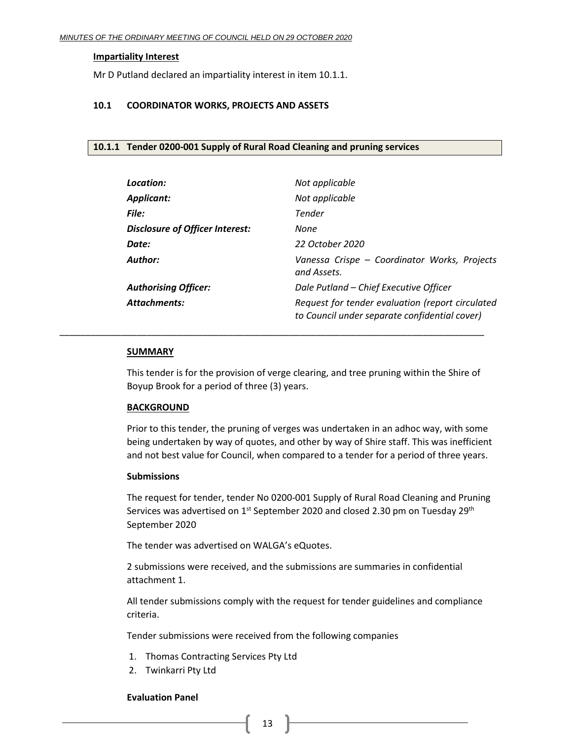## **Impartiality Interest**

Mr D Putland declared an impartiality interest in item 10.1.1.

## <span id="page-12-0"></span>**10.1 COORDINATOR WORKS, PROJECTS AND ASSETS**

#### <span id="page-12-1"></span>**10.1.1 Tender 0200-001 Supply of Rural Road Cleaning and pruning services**

| Location:                              | Not applicable                                                                                    |
|----------------------------------------|---------------------------------------------------------------------------------------------------|
| <b>Applicant:</b>                      | Not applicable                                                                                    |
| File:                                  | Tender                                                                                            |
| <b>Disclosure of Officer Interest:</b> | None                                                                                              |
| Date:                                  | 22 October 2020                                                                                   |
| Author:                                | Vanessa Crispe - Coordinator Works, Projects<br>and Assets.                                       |
| <b>Authorising Officer:</b>            | Dale Putland - Chief Executive Officer                                                            |
| <b>Attachments:</b>                    | Request for tender evaluation (report circulated<br>to Council under separate confidential cover) |

#### **SUMMARY**

This tender is for the provision of verge clearing, and tree pruning within the Shire of Boyup Brook for a period of three (3) years.

\_\_\_\_\_\_\_\_\_\_\_\_\_\_\_\_\_\_\_\_\_\_\_\_\_\_\_\_\_\_\_\_\_\_\_\_\_\_\_\_\_\_\_\_\_\_\_\_\_\_\_\_\_\_\_\_\_\_\_\_\_\_\_\_\_\_\_\_\_\_\_\_\_\_\_\_\_\_\_\_\_\_\_

## **BACKGROUND**

Prior to this tender, the pruning of verges was undertaken in an adhoc way, with some being undertaken by way of quotes, and other by way of Shire staff. This was inefficient and not best value for Council, when compared to a tender for a period of three years.

#### **Submissions**

The request for tender, tender No 0200-001 Supply of Rural Road Cleaning and Pruning Services was advertised on  $1^{st}$  September 2020 and closed 2.30 pm on Tuesday 29<sup>th</sup> September 2020

The tender was advertised on WALGA's eQuotes.

2 submissions were received, and the submissions are summaries in confidential attachment 1.

All tender submissions comply with the request for tender guidelines and compliance criteria.

Tender submissions were received from the following companies

- 1. Thomas Contracting Services Pty Ltd
- 2. Twinkarri Pty Ltd

#### **Evaluation Panel**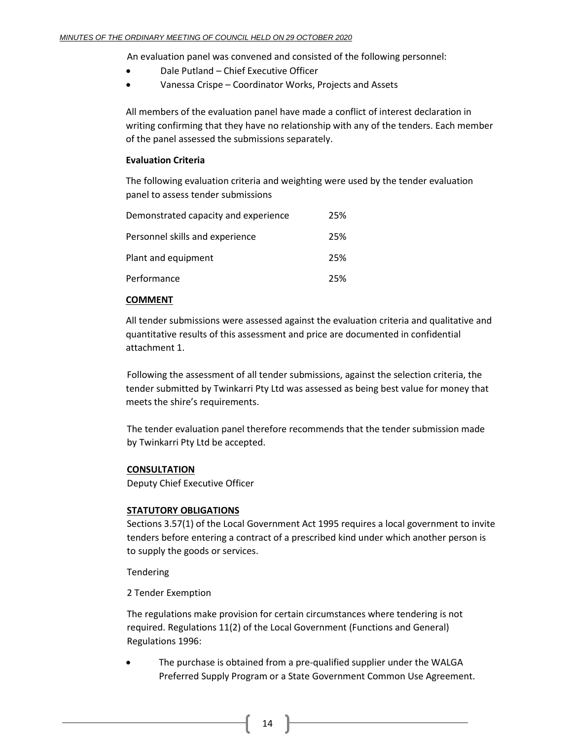An evaluation panel was convened and consisted of the following personnel:

- Dale Putland Chief Executive Officer
- Vanessa Crispe Coordinator Works, Projects and Assets

All members of the evaluation panel have made a conflict of interest declaration in writing confirming that they have no relationship with any of the tenders. Each member of the panel assessed the submissions separately.

## **Evaluation Criteria**

The following evaluation criteria and weighting were used by the tender evaluation panel to assess tender submissions

| Demonstrated capacity and experience | 25% |
|--------------------------------------|-----|
| Personnel skills and experience      | 25% |
| Plant and equipment                  | 25% |
| Performance                          | 25% |

## **COMMENT**

All tender submissions were assessed against the evaluation criteria and qualitative and quantitative results of this assessment and price are documented in confidential attachment 1.

Following the assessment of all tender submissions, against the selection criteria, the tender submitted by Twinkarri Pty Ltd was assessed as being best value for money that meets the shire's requirements.

The tender evaluation panel therefore recommends that the tender submission made by Twinkarri Pty Ltd be accepted.

## **CONSULTATION**

Deputy Chief Executive Officer

## **STATUTORY OBLIGATIONS**

Sections 3.57(1) of the Local Government Act 1995 requires a local government to invite tenders before entering a contract of a prescribed kind under which another person is to supply the goods or services.

Tendering

2 Tender Exemption

The regulations make provision for certain circumstances where tendering is not required. Regulations 11(2) of the Local Government (Functions and General) Regulations 1996:

The purchase is obtained from a pre-qualified supplier under the WALGA Preferred Supply Program or a State Government Common Use Agreement.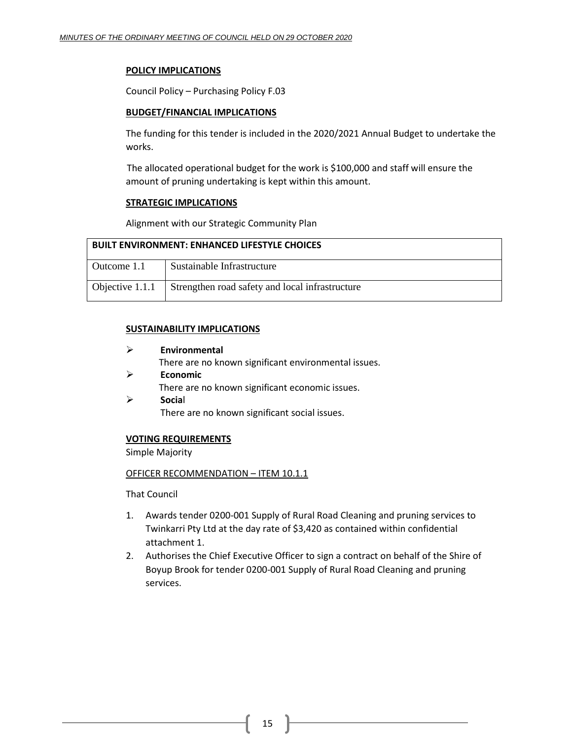## **POLICY IMPLICATIONS**

Council Policy – Purchasing Policy F.03

## **BUDGET/FINANCIAL IMPLICATIONS**

The funding for this tender is included in the 2020/2021 Annual Budget to undertake the works.

The allocated operational budget for the work is \$100,000 and staff will ensure the amount of pruning undertaking is kept within this amount.

## **STRATEGIC IMPLICATIONS**

Alignment with our Strategic Community Plan

| <b>BUILT ENVIRONMENT: ENHANCED LIFESTYLE CHOICES</b> |                                                 |  |
|------------------------------------------------------|-------------------------------------------------|--|
| Outcome 1.1                                          | Sustainable Infrastructure                      |  |
| Objective 1.1.1                                      | Strengthen road safety and local infrastructure |  |

## **SUSTAINABILITY IMPLICATIONS**

- ➢ **Environmental** There are no known significant environmental issues. ➢ **Economic** There are no known significant economic issues.
- ➢ **Socia**l There are no known significant social issues.

## **VOTING REQUIREMENTS**

Simple Majority

## OFFICER RECOMMENDATION – ITEM 10.1.1

That Council

- 1. Awards tender 0200-001 Supply of Rural Road Cleaning and pruning services to Twinkarri Pty Ltd at the day rate of \$3,420 as contained within confidential attachment 1.
- 2. Authorises the Chief Executive Officer to sign a contract on behalf of the Shire of Boyup Brook for tender 0200-001 Supply of Rural Road Cleaning and pruning services.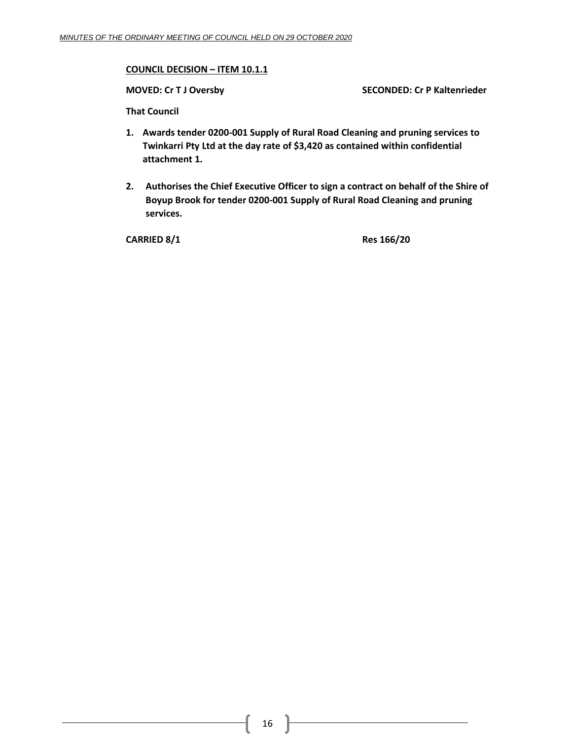## **COUNCIL DECISION – ITEM 10.1.1**

**MOVED: Cr T J Oversby SECONDED: Cr P Kaltenrieder**

**That Council**

- **1. Awards tender 0200-001 Supply of Rural Road Cleaning and pruning services to Twinkarri Pty Ltd at the day rate of \$3,420 as contained within confidential attachment 1.**
- **2. Authorises the Chief Executive Officer to sign a contract on behalf of the Shire of Boyup Brook for tender 0200-001 Supply of Rural Road Cleaning and pruning services.**

**CARRIED 8/1 Res 166/20**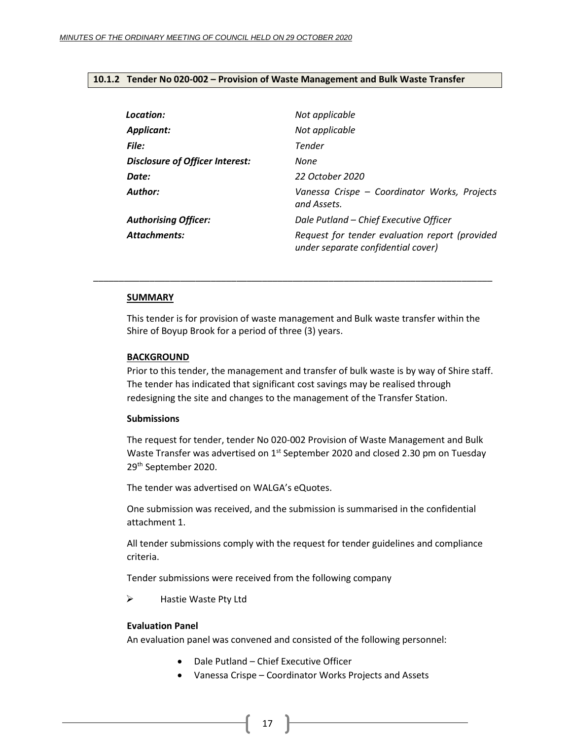#### <span id="page-16-0"></span>**10.1.2 Tender No 020-002 – Provision of Waste Management and Bulk Waste Transfer**

| Location:                              | Not applicable                                                                       |
|----------------------------------------|--------------------------------------------------------------------------------------|
| Applicant:                             | Not applicable                                                                       |
| File:                                  | Tender                                                                               |
| <b>Disclosure of Officer Interest:</b> | None                                                                                 |
| Date:                                  | 22 October 2020                                                                      |
| Author:                                | Vanessa Crispe - Coordinator Works, Projects<br>and Assets.                          |
| <b>Authorising Officer:</b>            | Dale Putland - Chief Executive Officer                                               |
| <b>Attachments:</b>                    | Request for tender evaluation report (provided<br>under separate confidential cover) |

#### **SUMMARY**

This tender is for provision of waste management and Bulk waste transfer within the Shire of Boyup Brook for a period of three (3) years.

\_\_\_\_\_\_\_\_\_\_\_\_\_\_\_\_\_\_\_\_\_\_\_\_\_\_\_\_\_\_\_\_\_\_\_\_\_\_\_\_\_\_\_\_\_\_\_\_\_\_\_\_\_\_\_\_\_\_\_\_\_\_\_\_\_\_\_\_\_\_\_\_\_\_\_\_\_\_

#### **BACKGROUND**

Prior to this tender, the management and transfer of bulk waste is by way of Shire staff. The tender has indicated that significant cost savings may be realised through redesigning the site and changes to the management of the Transfer Station.

#### **Submissions**

The request for tender, tender No 020-002 Provision of Waste Management and Bulk Waste Transfer was advertised on 1<sup>st</sup> September 2020 and closed 2.30 pm on Tuesday 29th September 2020.

The tender was advertised on WALGA's eQuotes.

One submission was received, and the submission is summarised in the confidential attachment 1.

All tender submissions comply with the request for tender guidelines and compliance criteria.

Tender submissions were received from the following company

➢ Hastie Waste Pty Ltd

#### **Evaluation Panel**

An evaluation panel was convened and consisted of the following personnel:

- Dale Putland Chief Executive Officer
- Vanessa Crispe Coordinator Works Projects and Assets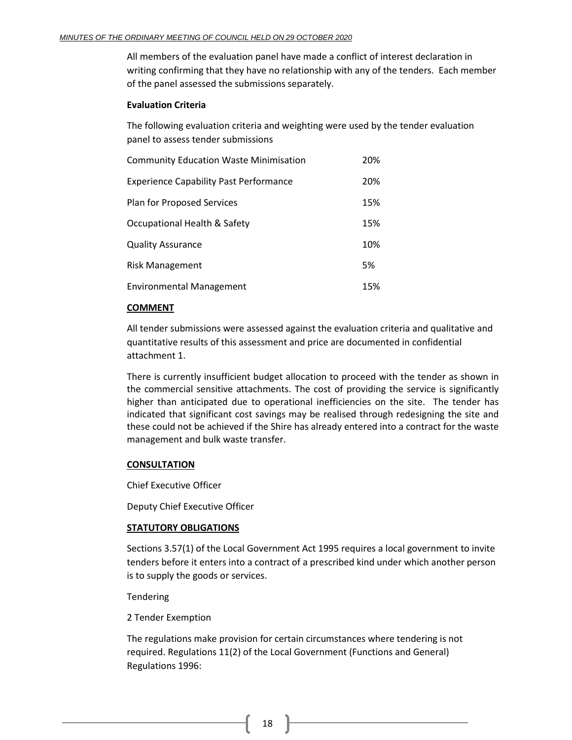All members of the evaluation panel have made a conflict of interest declaration in writing confirming that they have no relationship with any of the tenders. Each member of the panel assessed the submissions separately.

## **Evaluation Criteria**

The following evaluation criteria and weighting were used by the tender evaluation panel to assess tender submissions

| <b>Community Education Waste Minimisation</b> | 20% |
|-----------------------------------------------|-----|
| <b>Experience Capability Past Performance</b> | 20% |
| <b>Plan for Proposed Services</b>             | 15% |
| Occupational Health & Safety                  | 15% |
| <b>Quality Assurance</b>                      | 10% |
| <b>Risk Management</b>                        | 5%  |
| <b>Environmental Management</b>               | 15% |

## **COMMENT**

All tender submissions were assessed against the evaluation criteria and qualitative and quantitative results of this assessment and price are documented in confidential attachment 1.

There is currently insufficient budget allocation to proceed with the tender as shown in the commercial sensitive attachments. The cost of providing the service is significantly higher than anticipated due to operational inefficiencies on the site. The tender has indicated that significant cost savings may be realised through redesigning the site and these could not be achieved if the Shire has already entered into a contract for the waste management and bulk waste transfer.

## **CONSULTATION**

Chief Executive Officer

Deputy Chief Executive Officer

## **STATUTORY OBLIGATIONS**

Sections 3.57(1) of the Local Government Act 1995 requires a local government to invite tenders before it enters into a contract of a prescribed kind under which another person is to supply the goods or services.

Tendering

2 Tender Exemption

The regulations make provision for certain circumstances where tendering is not required. Regulations 11(2) of the Local Government (Functions and General) Regulations 1996: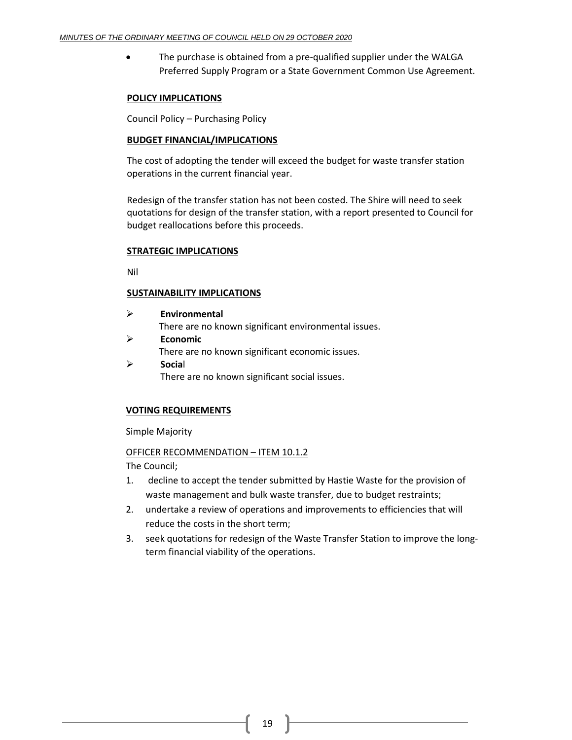• The purchase is obtained from a pre-qualified supplier under the WALGA Preferred Supply Program or a State Government Common Use Agreement.

## **POLICY IMPLICATIONS**

Council Policy – Purchasing Policy

## **BUDGET FINANCIAL/IMPLICATIONS**

The cost of adopting the tender will exceed the budget for waste transfer station operations in the current financial year.

Redesign of the transfer station has not been costed. The Shire will need to seek quotations for design of the transfer station, with a report presented to Council for budget reallocations before this proceeds.

## **STRATEGIC IMPLICATIONS**

Nil

## **SUSTAINABILITY IMPLICATIONS**

- ➢ **Environmental** There are no known significant environmental issues. ➢ **Economic** There are no known significant economic issues.
- ➢ **Socia**l There are no known significant social issues.

## **VOTING REQUIREMENTS**

Simple Majority

## OFFICER RECOMMENDATION – ITEM 10.1.2

The Council;

- 1. decline to accept the tender submitted by Hastie Waste for the provision of waste management and bulk waste transfer, due to budget restraints;
- 2. undertake a review of operations and improvements to efficiencies that will reduce the costs in the short term;
- 3. seek quotations for redesign of the Waste Transfer Station to improve the longterm financial viability of the operations.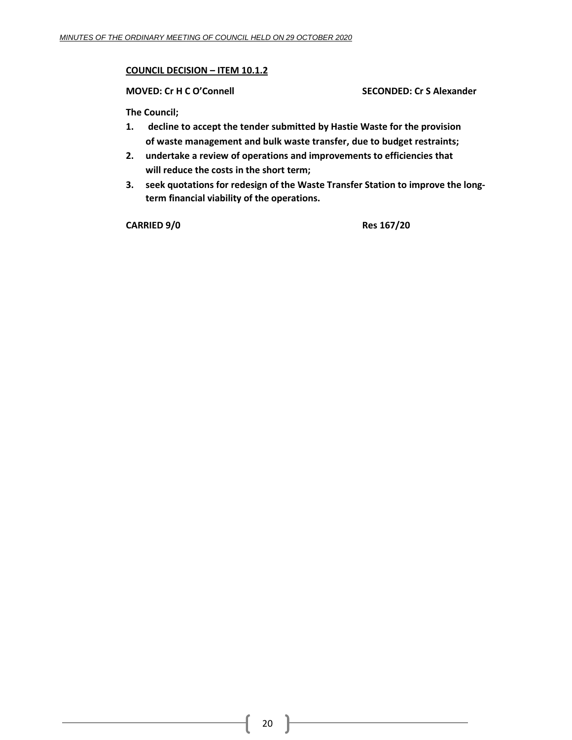## **COUNCIL DECISION – ITEM 10.1.2**

**MOVED: Cr H C O'Connell SECONDED: Cr S Alexander**

**The Council;**

- **1. decline to accept the tender submitted by Hastie Waste for the provision of waste management and bulk waste transfer, due to budget restraints;**
- **2. undertake a review of operations and improvements to efficiencies that will reduce the costs in the short term;**
- **3. seek quotations for redesign of the Waste Transfer Station to improve the longterm financial viability of the operations.**

**CARRIED 9/0 Res 167/20**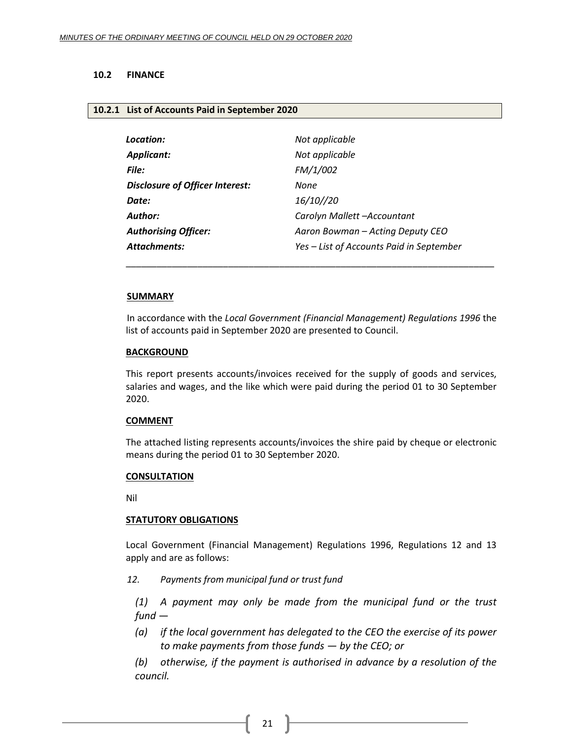## <span id="page-20-0"></span>**10.2 FINANCE**

#### <span id="page-20-1"></span>**10.2.1 List of Accounts Paid in September 2020**

| Location:                              | Not applicable                           |
|----------------------------------------|------------------------------------------|
| <b>Applicant:</b>                      | Not applicable                           |
| File:                                  | FM/1/002                                 |
| <b>Disclosure of Officer Interest:</b> | None                                     |
| Date:                                  | 16/10//20                                |
| Author:                                | Carolyn Mallett -Accountant              |
| <b>Authorising Officer:</b>            | Aaron Bowman – Acting Deputy CEO         |
| <b>Attachments:</b>                    | Yes - List of Accounts Paid in September |

#### **SUMMARY**

In accordance with the *Local Government (Financial Management) Regulations 1996* the list of accounts paid in September 2020 are presented to Council.

\_\_\_\_\_\_\_\_\_\_\_\_\_\_\_\_\_\_\_\_\_\_\_\_\_\_\_\_\_\_\_\_\_\_\_\_\_\_\_\_\_\_\_\_\_\_\_\_\_\_\_\_\_\_\_\_\_\_\_\_\_\_\_\_\_\_\_\_\_\_\_\_

#### **BACKGROUND**

This report presents accounts/invoices received for the supply of goods and services, salaries and wages, and the like which were paid during the period 01 to 30 September 2020.

#### **COMMENT**

The attached listing represents accounts/invoices the shire paid by cheque or electronic means during the period 01 to 30 September 2020.

#### **CONSULTATION**

Nil

#### **STATUTORY OBLIGATIONS**

Local Government (Financial Management) Regulations 1996, Regulations 12 and 13 apply and are as follows:

*12. Payments from municipal fund or trust fund*

*(1) A payment may only be made from the municipal fund or the trust fund —*

*(a) if the local government has delegated to the CEO the exercise of its power to make payments from those funds — by the CEO; or*

*(b) otherwise, if the payment is authorised in advance by a resolution of the council.*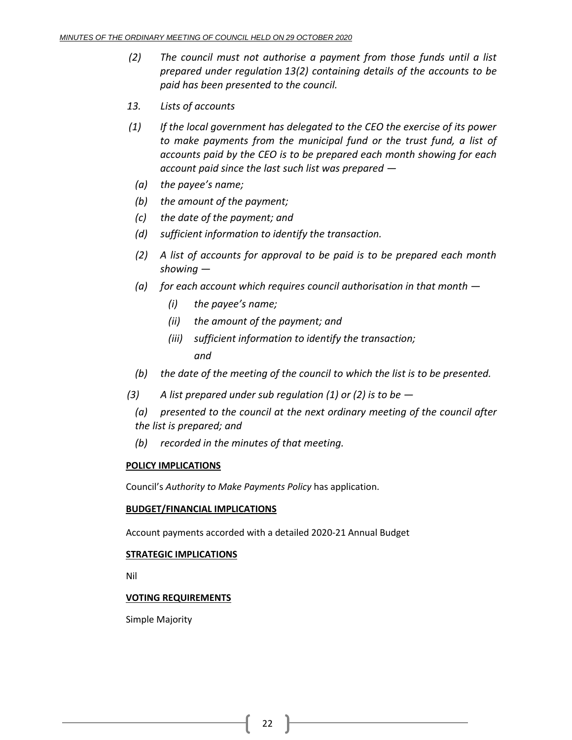- *(2) The council must not authorise a payment from those funds until a list prepared under regulation 13(2) containing details of the accounts to be paid has been presented to the council.*
- *13. Lists of accounts*
- *(1) If the local government has delegated to the CEO the exercise of its power to make payments from the municipal fund or the trust fund, a list of accounts paid by the CEO is to be prepared each month showing for each account paid since the last such list was prepared —*
	- *(a) the payee's name;*
	- *(b) the amount of the payment;*
	- *(c) the date of the payment; and*
	- *(d) sufficient information to identify the transaction.*
	- *(2) A list of accounts for approval to be paid is to be prepared each month showing —*
	- *(a) for each account which requires council authorisation in that month —*
		- *(i) the payee's name;*
		- *(ii) the amount of the payment; and*
		- *(iii) sufficient information to identify the transaction; and*
	- *(b) the date of the meeting of the council to which the list is to be presented.*
- *(3) A list prepared under sub regulation (1) or (2) is to be —*
	- *(a) presented to the council at the next ordinary meeting of the council after the list is prepared; and*
	- *(b) recorded in the minutes of that meeting.*

## **POLICY IMPLICATIONS**

Council's *Authority to Make Payments Policy* has application.

## **BUDGET/FINANCIAL IMPLICATIONS**

Account payments accorded with a detailed 2020-21 Annual Budget

## **STRATEGIC IMPLICATIONS**

Nil

## **VOTING REQUIREMENTS**

Simple Majority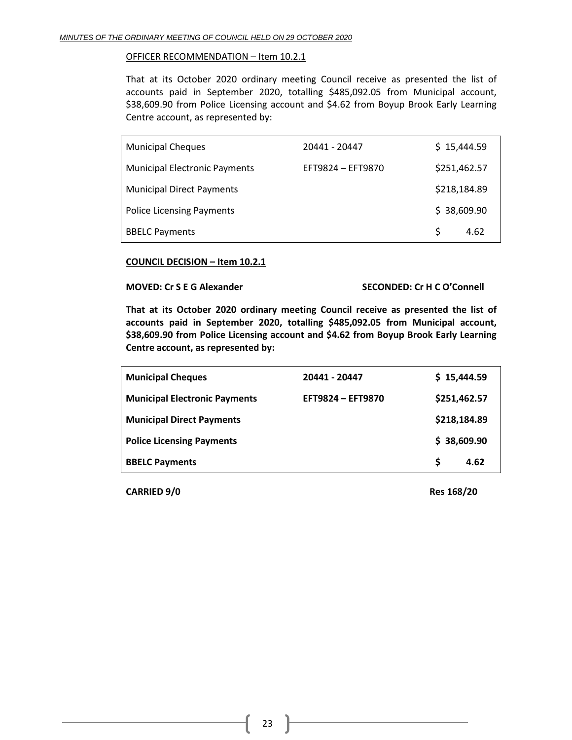## OFFICER RECOMMENDATION – Item 10.2.1

That at its October 2020 ordinary meeting Council receive as presented the list of accounts paid in September 2020, totalling \$485,092.05 from Municipal account, \$38,609.90 from Police Licensing account and \$4.62 from Boyup Brook Early Learning Centre account, as represented by:

| <b>Municipal Cheques</b>             | 20441 - 20447     | \$15,444.59  |      |
|--------------------------------------|-------------------|--------------|------|
| <b>Municipal Electronic Payments</b> | EFT9824 - EFT9870 | \$251,462.57 |      |
| <b>Municipal Direct Payments</b>     |                   | \$218,184.89 |      |
| <b>Police Licensing Payments</b>     |                   | \$38,609.90  |      |
| <b>BBELC Payments</b>                |                   | S.           | 4.62 |

## **COUNCIL DECISION – Item 10.2.1**

#### **MOVED: Cr S E G Alexander SECONDED: Cr H C O'Connell**

**That at its October 2020 ordinary meeting Council receive as presented the list of accounts paid in September 2020, totalling \$485,092.05 from Municipal account, \$38,609.90 from Police Licensing account and \$4.62 from Boyup Brook Early Learning Centre account, as represented by:**

| <b>Municipal Cheques</b>             | 20441 - 20447     | \$15,444.59  |      |
|--------------------------------------|-------------------|--------------|------|
| <b>Municipal Electronic Payments</b> | EFT9824 - EFT9870 | \$251,462.57 |      |
| <b>Municipal Direct Payments</b>     |                   | \$218,184.89 |      |
| <b>Police Licensing Payments</b>     |                   | \$38,609.90  |      |
| <b>BBELC Payments</b>                |                   | S            | 4.62 |

**CARRIED 9/0 Res 168/20**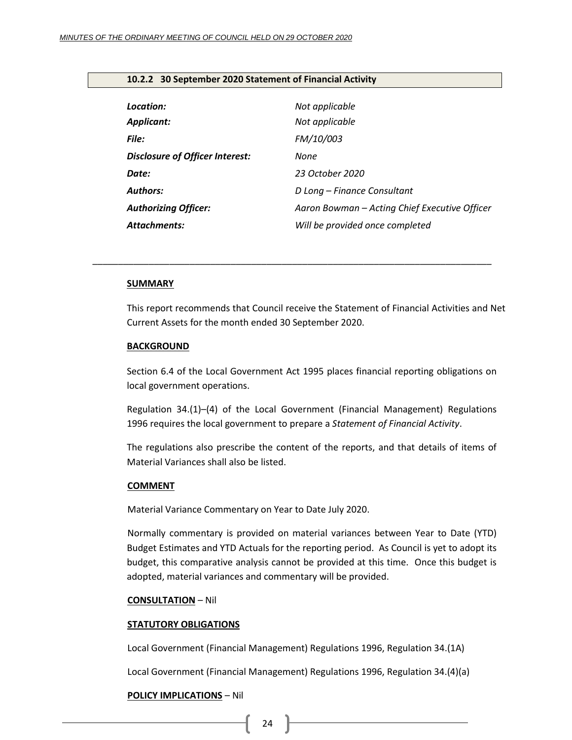## <span id="page-23-0"></span>**10.2.2 30 September 2020 Statement of Financial Activity**

| Location:                              | Not applicable                                |
|----------------------------------------|-----------------------------------------------|
| <b>Applicant:</b>                      | Not applicable                                |
| <b>File:</b>                           | <b>FM/10/003</b>                              |
| <b>Disclosure of Officer Interest:</b> | None                                          |
| Date:                                  | 23 October 2020                               |
| <b>Authors:</b>                        | D Long - Finance Consultant                   |
| <b>Authorizing Officer:</b>            | Aaron Bowman - Acting Chief Executive Officer |
| <b>Attachments:</b>                    | Will be provided once completed               |

*\_\_\_\_\_\_\_\_\_\_\_\_\_\_\_\_\_\_\_\_\_\_\_\_\_\_\_\_\_\_\_\_\_\_\_\_\_\_\_\_\_\_\_\_\_\_\_\_\_\_\_\_\_\_\_\_\_\_\_\_\_\_\_\_\_\_\_\_\_\_\_\_\_\_\_\_\_\_*

#### **SUMMARY**

This report recommends that Council receive the Statement of Financial Activities and Net Current Assets for the month ended 30 September 2020.

## **BACKGROUND**

Section 6.4 of the Local Government Act 1995 places financial reporting obligations on local government operations.

Regulation 34.(1)–(4) of the Local Government (Financial Management) Regulations 1996 requires the local government to prepare a *Statement of Financial Activity*.

The regulations also prescribe the content of the reports, and that details of items of Material Variances shall also be listed.

#### **COMMENT**

Material Variance Commentary on Year to Date July 2020.

Normally commentary is provided on material variances between Year to Date (YTD) Budget Estimates and YTD Actuals for the reporting period. As Council is yet to adopt its budget, this comparative analysis cannot be provided at this time. Once this budget is adopted, material variances and commentary will be provided.

#### **CONSULTATION** – Nil

#### **STATUTORY OBLIGATIONS**

Local Government (Financial Management) Regulations 1996, Regulation 34.(1A)

Local Government (Financial Management) Regulations 1996, Regulation 34.(4)(a)

#### **POLICY IMPLICATIONS** – Nil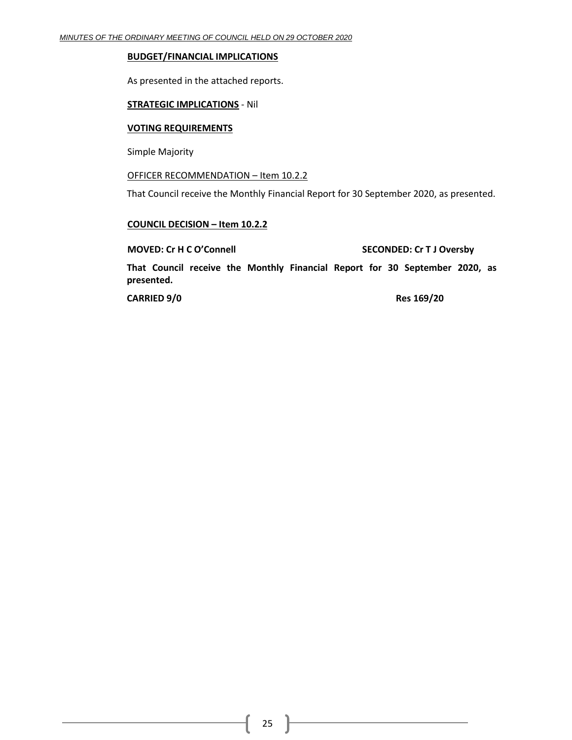#### **BUDGET/FINANCIAL IMPLICATIONS**

As presented in the attached reports.

## **STRATEGIC IMPLICATIONS** - Nil

#### **VOTING REQUIREMENTS**

Simple Majority

## OFFICER RECOMMENDATION – Item 10.2.2

That Council receive the Monthly Financial Report for 30 September 2020, as presented.

#### **COUNCIL DECISION – Item 10.2.2**

#### **MOVED: Cr H C O'Connell SECONDED: Cr T J Oversby**

**That Council receive the Monthly Financial Report for 30 September 2020, as presented.**

**CARRIED 9/0 Res 169/20**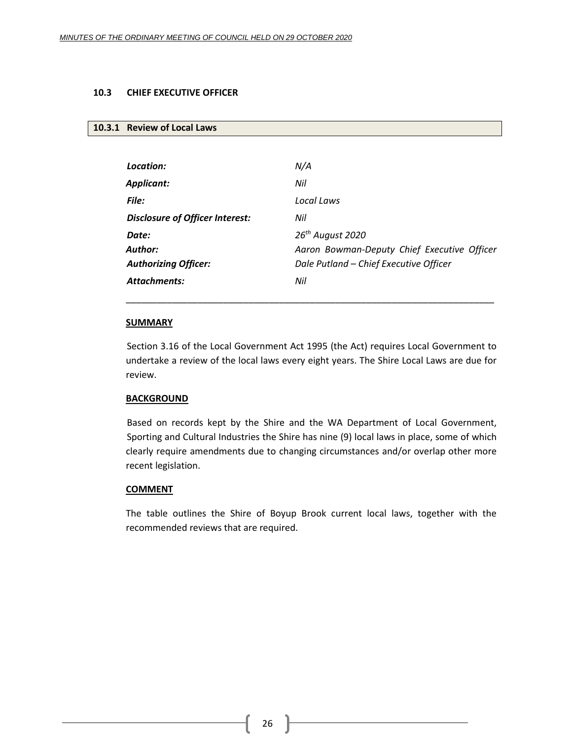## <span id="page-25-0"></span>**10.3 CHIEF EXECUTIVE OFFICER**

## <span id="page-25-1"></span>**10.3.1 Review of Local Laws**

| Location:                              | N/A                                         |
|----------------------------------------|---------------------------------------------|
| Applicant:                             | Nil                                         |
| <b>File:</b>                           | Local Laws                                  |
| <b>Disclosure of Officer Interest:</b> | Nil                                         |
| Date:                                  | 26 <sup>th</sup> August 2020                |
| Author:                                | Aaron Bowman-Deputy Chief Executive Officer |
| <b>Authorizing Officer:</b>            | Dale Putland - Chief Executive Officer      |
| Attachments:                           | Nil                                         |

## **SUMMARY**

Section 3.16 of the Local Government Act 1995 (the Act) requires Local Government to undertake a review of the local laws every eight years. The Shire Local Laws are due for review.

\_\_\_\_\_\_\_\_\_\_\_\_\_\_\_\_\_\_\_\_\_\_\_\_\_\_\_\_\_\_\_\_\_\_\_\_\_\_\_\_\_\_\_\_\_\_\_\_\_\_\_\_\_\_\_\_\_\_\_\_\_\_\_\_\_\_\_\_\_\_\_\_

## **BACKGROUND**

Based on records kept by the Shire and the WA Department of Local Government, Sporting and Cultural Industries the Shire has nine (9) local laws in place, some of which clearly require amendments due to changing circumstances and/or overlap other more recent legislation.

#### **COMMENT**

The table outlines the Shire of Boyup Brook current local laws, together with the recommended reviews that are required.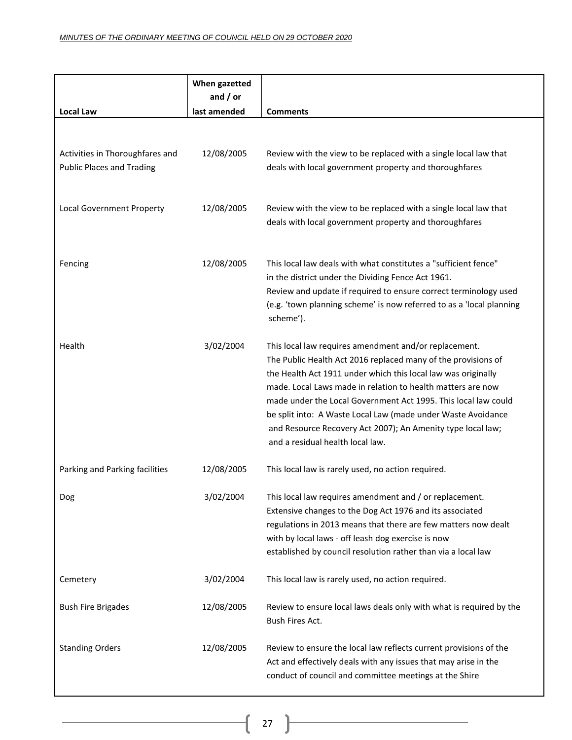|                                                                     | When gazetted<br>and $/$ or |                                                                                                                                                                                                                                                                                                                                                                                                                                                                                             |
|---------------------------------------------------------------------|-----------------------------|---------------------------------------------------------------------------------------------------------------------------------------------------------------------------------------------------------------------------------------------------------------------------------------------------------------------------------------------------------------------------------------------------------------------------------------------------------------------------------------------|
| <b>Local Law</b>                                                    | last amended                | <b>Comments</b>                                                                                                                                                                                                                                                                                                                                                                                                                                                                             |
| Activities in Thoroughfares and<br><b>Public Places and Trading</b> | 12/08/2005                  | Review with the view to be replaced with a single local law that<br>deals with local government property and thoroughfares                                                                                                                                                                                                                                                                                                                                                                  |
| Local Government Property                                           | 12/08/2005                  | Review with the view to be replaced with a single local law that<br>deals with local government property and thoroughfares                                                                                                                                                                                                                                                                                                                                                                  |
| Fencing                                                             | 12/08/2005                  | This local law deals with what constitutes a "sufficient fence"<br>in the district under the Dividing Fence Act 1961.<br>Review and update if required to ensure correct terminology used<br>(e.g. 'town planning scheme' is now referred to as a 'local planning<br>scheme').                                                                                                                                                                                                              |
| Health                                                              | 3/02/2004                   | This local law requires amendment and/or replacement.<br>The Public Health Act 2016 replaced many of the provisions of<br>the Health Act 1911 under which this local law was originally<br>made. Local Laws made in relation to health matters are now<br>made under the Local Government Act 1995. This local law could<br>be split into: A Waste Local Law (made under Waste Avoidance<br>and Resource Recovery Act 2007); An Amenity type local law;<br>and a residual health local law. |
| Parking and Parking facilities                                      | 12/08/2005                  | This local law is rarely used, no action required.                                                                                                                                                                                                                                                                                                                                                                                                                                          |
| Dog                                                                 | 3/02/2004                   | This local law requires amendment and / or replacement.<br>Extensive changes to the Dog Act 1976 and its associated<br>regulations in 2013 means that there are few matters now dealt<br>with by local laws - off leash dog exercise is now<br>established by council resolution rather than via a local law                                                                                                                                                                                |
| Cemetery                                                            | 3/02/2004                   | This local law is rarely used, no action required.                                                                                                                                                                                                                                                                                                                                                                                                                                          |
| <b>Bush Fire Brigades</b>                                           | 12/08/2005                  | Review to ensure local laws deals only with what is required by the<br>Bush Fires Act.                                                                                                                                                                                                                                                                                                                                                                                                      |
| <b>Standing Orders</b>                                              | 12/08/2005                  | Review to ensure the local law reflects current provisions of the<br>Act and effectively deals with any issues that may arise in the<br>conduct of council and committee meetings at the Shire                                                                                                                                                                                                                                                                                              |

ŀ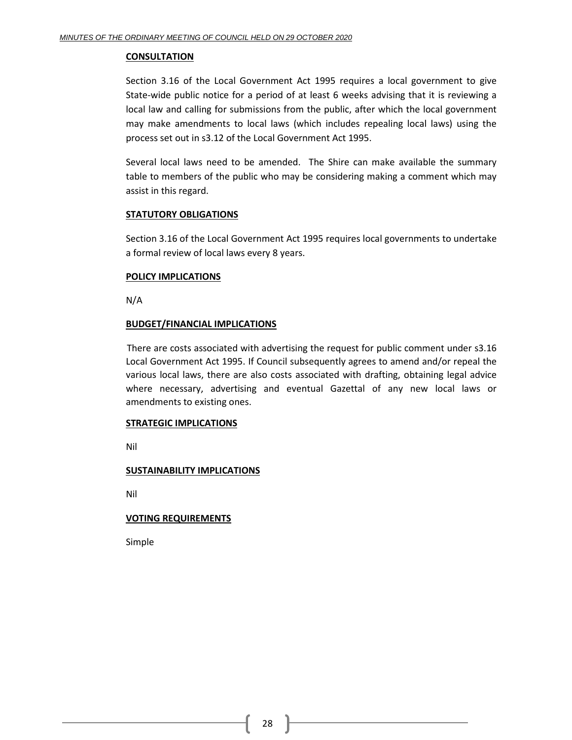## **CONSULTATION**

Section 3.16 of the Local Government Act 1995 requires a local government to give State-wide public notice for a period of at least 6 weeks advising that it is reviewing a local law and calling for submissions from the public, after which the local government may make amendments to local laws (which includes repealing local laws) using the process set out in s3.12 of the Local Government Act 1995.

Several local laws need to be amended. The Shire can make available the summary table to members of the public who may be considering making a comment which may assist in this regard.

## **STATUTORY OBLIGATIONS**

Section 3.16 of the Local Government Act 1995 requires local governments to undertake a formal review of local laws every 8 years.

## **POLICY IMPLICATIONS**

N/A

## **BUDGET/FINANCIAL IMPLICATIONS**

There are costs associated with advertising the request for public comment under s3.16 Local Government Act 1995. If Council subsequently agrees to amend and/or repeal the various local laws, there are also costs associated with drafting, obtaining legal advice where necessary, advertising and eventual Gazettal of any new local laws or amendments to existing ones.

## **STRATEGIC IMPLICATIONS**

Nil

## **SUSTAINABILITY IMPLICATIONS**

Nil

## **VOTING REQUIREMENTS**

Simple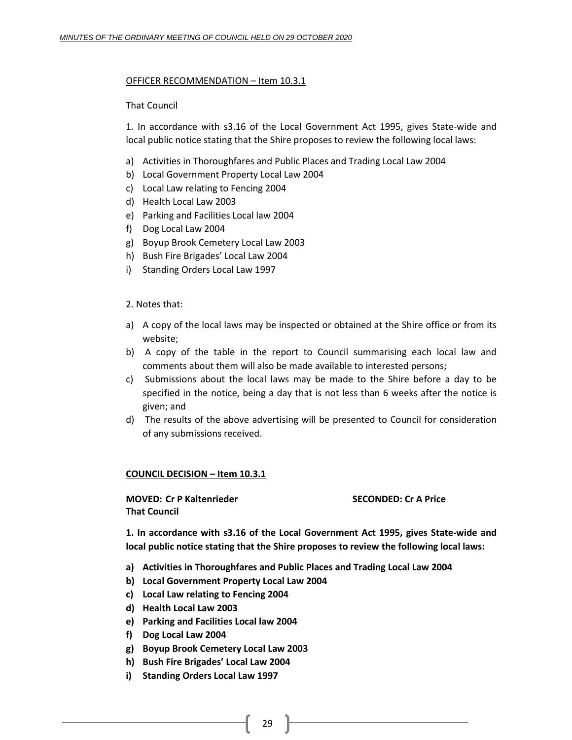## OFFICER RECOMMENDATION – Item 10.3.1

## That Council

1. In accordance with s3.16 of the Local Government Act 1995, gives State-wide and local public notice stating that the Shire proposes to review the following local laws:

- a) Activities in Thoroughfares and Public Places and Trading Local Law 2004
- b) Local Government Property Local Law 2004
- c) Local Law relating to Fencing 2004
- d) Health Local Law 2003
- e) Parking and Facilities Local law 2004
- f) Dog Local Law 2004
- g) Boyup Brook Cemetery Local Law 2003
- h) Bush Fire Brigades' Local Law 2004
- i) Standing Orders Local Law 1997

## 2. Notes that:

- a) A copy of the local laws may be inspected or obtained at the Shire office or from its website;
- b) A copy of the table in the report to Council summarising each local law and comments about them will also be made available to interested persons;
- c) Submissions about the local laws may be made to the Shire before a day to be specified in the notice, being a day that is not less than 6 weeks after the notice is given; and
- d) The results of the above advertising will be presented to Council for consideration of any submissions received.

## **COUNCIL DECISION – Item 10.3.1**

**MOVED: Cr P Kaltenrieder SECONDED: Cr A Price That Council**

**1. In accordance with s3.16 of the Local Government Act 1995, gives State-wide and local public notice stating that the Shire proposes to review the following local laws:** 

- **a) Activities in Thoroughfares and Public Places and Trading Local Law 2004**
- **b) Local Government Property Local Law 2004**
- **c) Local Law relating to Fencing 2004**
- **d) Health Local Law 2003**
- **e) Parking and Facilities Local law 2004**
- **f) Dog Local Law 2004**
- **g) Boyup Brook Cemetery Local Law 2003**
- **h) Bush Fire Brigades' Local Law 2004**
- **i) Standing Orders Local Law 1997**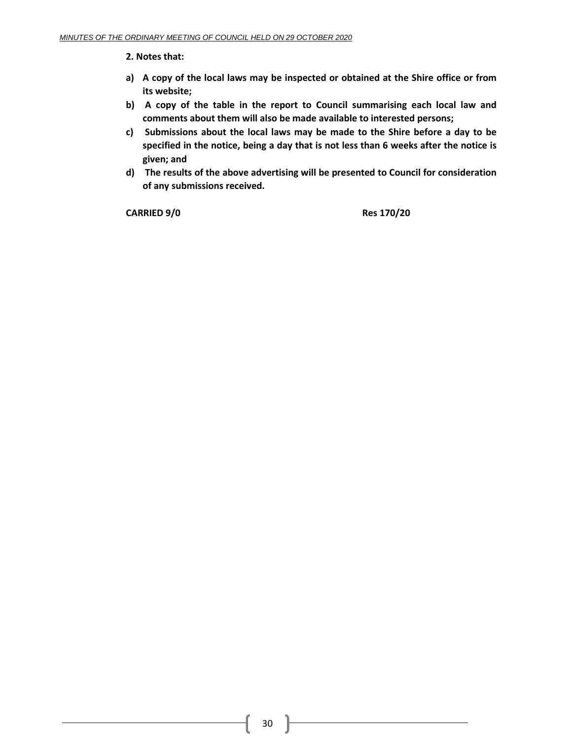**2. Notes that:** 

- **a) A copy of the local laws may be inspected or obtained at the Shire office or from its website;**
- **b) A copy of the table in the report to Council summarising each local law and comments about them will also be made available to interested persons;**
- **c) Submissions about the local laws may be made to the Shire before a day to be specified in the notice, being a day that is not less than 6 weeks after the notice is given; and**
- **d) The results of the above advertising will be presented to Council for consideration of any submissions received.**

**CARRIED 9/0 Res 170/20**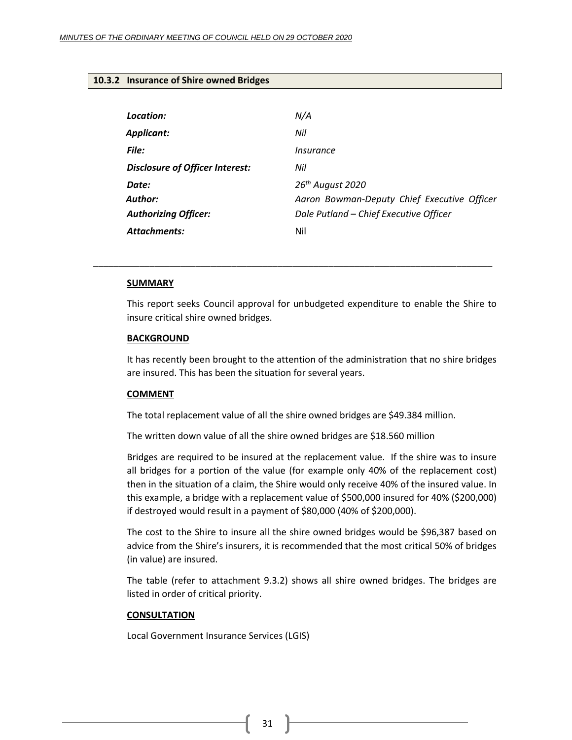## <span id="page-30-0"></span>**10.3.2 Insurance of Shire owned Bridges**

| Location:                              | N/A                                         |
|----------------------------------------|---------------------------------------------|
| Applicant:                             | Nil                                         |
| File:                                  | Insurance                                   |
| <b>Disclosure of Officer Interest:</b> | Nil                                         |
| Date:                                  | 26 <sup>th</sup> August 2020                |
| Author:                                | Aaron Bowman-Deputy Chief Executive Officer |
| <b>Authorizing Officer:</b>            | Dale Putland - Chief Executive Officer      |
| Attachments:                           | Nil                                         |

#### **SUMMARY**

This report seeks Council approval for unbudgeted expenditure to enable the Shire to insure critical shire owned bridges.

\_\_\_\_\_\_\_\_\_\_\_\_\_\_\_\_\_\_\_\_\_\_\_\_\_\_\_\_\_\_\_\_\_\_\_\_\_\_\_\_\_\_\_\_\_\_\_\_\_\_\_\_\_\_\_\_\_\_\_\_\_\_\_\_\_\_\_\_\_\_\_\_\_\_\_\_\_\_

#### **BACKGROUND**

It has recently been brought to the attention of the administration that no shire bridges are insured. This has been the situation for several years.

#### **COMMENT**

The total replacement value of all the shire owned bridges are \$49.384 million.

The written down value of all the shire owned bridges are \$18.560 million

Bridges are required to be insured at the replacement value. If the shire was to insure all bridges for a portion of the value (for example only 40% of the replacement cost) then in the situation of a claim, the Shire would only receive 40% of the insured value. In this example, a bridge with a replacement value of \$500,000 insured for 40% (\$200,000) if destroyed would result in a payment of \$80,000 (40% of \$200,000).

The cost to the Shire to insure all the shire owned bridges would be \$96,387 based on advice from the Shire's insurers, it is recommended that the most critical 50% of bridges (in value) are insured.

The table (refer to attachment 9.3.2) shows all shire owned bridges. The bridges are listed in order of critical priority.

#### **CONSULTATION**

Local Government Insurance Services (LGIS)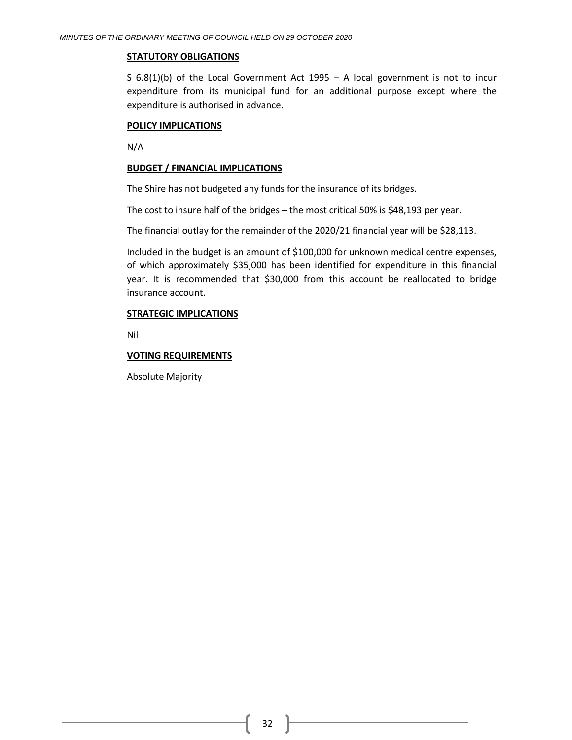## **STATUTORY OBLIGATIONS**

S 6.8(1)(b) of the Local Government Act 1995 – A local government is not to incur expenditure from its municipal fund for an additional purpose except where the expenditure is authorised in advance.

## **POLICY IMPLICATIONS**

N/A

## **BUDGET / FINANCIAL IMPLICATIONS**

The Shire has not budgeted any funds for the insurance of its bridges.

The cost to insure half of the bridges – the most critical 50% is \$48,193 per year.

The financial outlay for the remainder of the 2020/21 financial year will be \$28,113.

Included in the budget is an amount of \$100,000 for unknown medical centre expenses, of which approximately \$35,000 has been identified for expenditure in this financial year. It is recommended that \$30,000 from this account be reallocated to bridge insurance account.

## **STRATEGIC IMPLICATIONS**

Nil

## **VOTING REQUIREMENTS**

Absolute Majority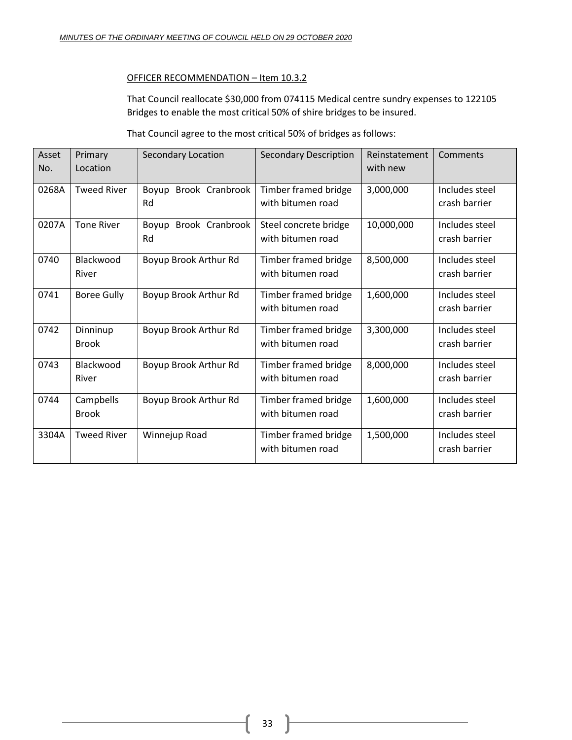## OFFICER RECOMMENDATION – Item 10.3.2

That Council reallocate \$30,000 from 074115 Medical centre sundry expenses to 122105 Bridges to enable the most critical 50% of shire bridges to be insured.

That Council agree to the most critical 50% of bridges as follows:

| Asset | Primary            | Secondary Location    | <b>Secondary Description</b> | Reinstatement | Comments       |
|-------|--------------------|-----------------------|------------------------------|---------------|----------------|
| No.   | Location           |                       |                              | with new      |                |
| 0268A | <b>Tweed River</b> | Boyup Brook Cranbrook | Timber framed bridge         | 3,000,000     | Includes steel |
|       |                    | Rd                    | with bitumen road            |               | crash barrier  |
| 0207A | <b>Tone River</b>  | Boyup Brook Cranbrook | Steel concrete bridge        | 10,000,000    | Includes steel |
|       |                    | Rd                    | with bitumen road            |               | crash barrier  |
| 0740  | Blackwood          | Boyup Brook Arthur Rd | Timber framed bridge         | 8,500,000     | Includes steel |
|       | River              |                       | with bitumen road            |               | crash barrier  |
| 0741  | <b>Boree Gully</b> | Boyup Brook Arthur Rd | Timber framed bridge         | 1,600,000     | Includes steel |
|       |                    |                       | with bitumen road            |               | crash barrier  |
| 0742  | Dinninup           | Boyup Brook Arthur Rd | Timber framed bridge         | 3,300,000     | Includes steel |
|       | <b>Brook</b>       |                       | with bitumen road            |               | crash barrier  |
| 0743  | Blackwood          | Boyup Brook Arthur Rd | Timber framed bridge         | 8,000,000     | Includes steel |
|       | River              |                       | with bitumen road            |               | crash barrier  |
| 0744  | Campbells          | Boyup Brook Arthur Rd | <b>Timber framed bridge</b>  | 1,600,000     | Includes steel |
|       | <b>Brook</b>       |                       | with bitumen road            |               | crash barrier  |
| 3304A | <b>Tweed River</b> | Winnejup Road         | Timber framed bridge         | 1,500,000     | Includes steel |
|       |                    |                       | with bitumen road            |               | crash barrier  |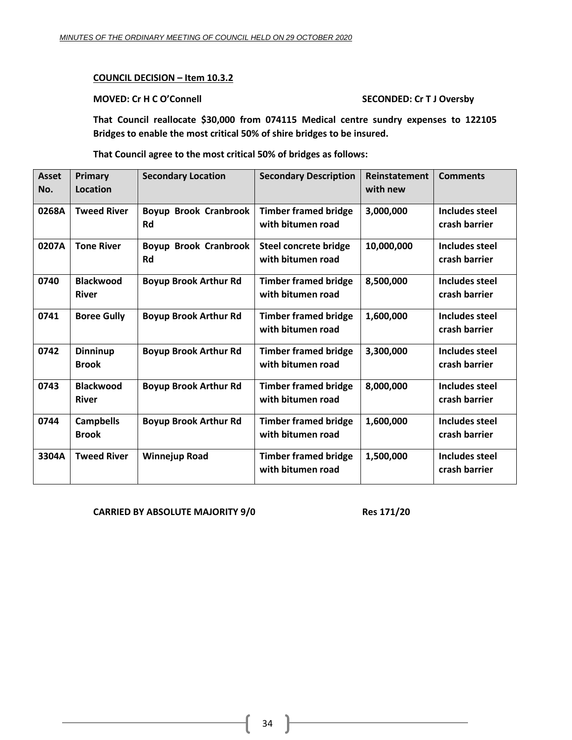## **COUNCIL DECISION – Item 10.3.2**

## **MOVED: Cr H C O'Connell SECONDED: Cr T J Oversby**

**That Council reallocate \$30,000 from 074115 Medical centre sundry expenses to 122105 Bridges to enable the most critical 50% of shire bridges to be insured.**

**That Council agree to the most critical 50% of bridges as follows:**

| <b>Asset</b><br>No. | Primary<br>Location              | <b>Secondary Location</b>                 | <b>Secondary Description</b>                      | Reinstatement<br>with new | <b>Comments</b>                        |
|---------------------|----------------------------------|-------------------------------------------|---------------------------------------------------|---------------------------|----------------------------------------|
| 0268A               | <b>Tweed River</b>               | <b>Boyup Brook Cranbrook</b><br>Rd        | <b>Timber framed bridge</b><br>with bitumen road  | 3,000,000                 | <b>Includes steel</b><br>crash barrier |
| 0207A               | <b>Tone River</b>                | <b>Boyup Brook Cranbrook</b><br><b>Rd</b> | <b>Steel concrete bridge</b><br>with bitumen road | 10,000,000                | Includes steel<br>crash barrier        |
| 0740                | <b>Blackwood</b><br><b>River</b> | <b>Boyup Brook Arthur Rd</b>              | <b>Timber framed bridge</b><br>with bitumen road  | 8,500,000                 | <b>Includes steel</b><br>crash barrier |
| 0741                | <b>Boree Gully</b>               | <b>Boyup Brook Arthur Rd</b>              | <b>Timber framed bridge</b><br>with bitumen road  | 1,600,000                 | <b>Includes steel</b><br>crash barrier |
| 0742                | <b>Dinninup</b><br><b>Brook</b>  | <b>Boyup Brook Arthur Rd</b>              | <b>Timber framed bridge</b><br>with bitumen road  | 3,300,000                 | <b>Includes steel</b><br>crash barrier |
| 0743                | <b>Blackwood</b><br><b>River</b> | <b>Boyup Brook Arthur Rd</b>              | <b>Timber framed bridge</b><br>with bitumen road  | 8,000,000                 | Includes steel<br>crash barrier        |
| 0744                | <b>Campbells</b><br><b>Brook</b> | <b>Boyup Brook Arthur Rd</b>              | <b>Timber framed bridge</b><br>with bitumen road  | 1,600,000                 | Includes steel<br>crash barrier        |
| 3304A               | <b>Tweed River</b>               | <b>Winnejup Road</b>                      | <b>Timber framed bridge</b><br>with bitumen road  | 1,500,000                 | Includes steel<br>crash barrier        |

**CARRIED BY ABSOLUTE MAJORITY 9/0 Res 171/20**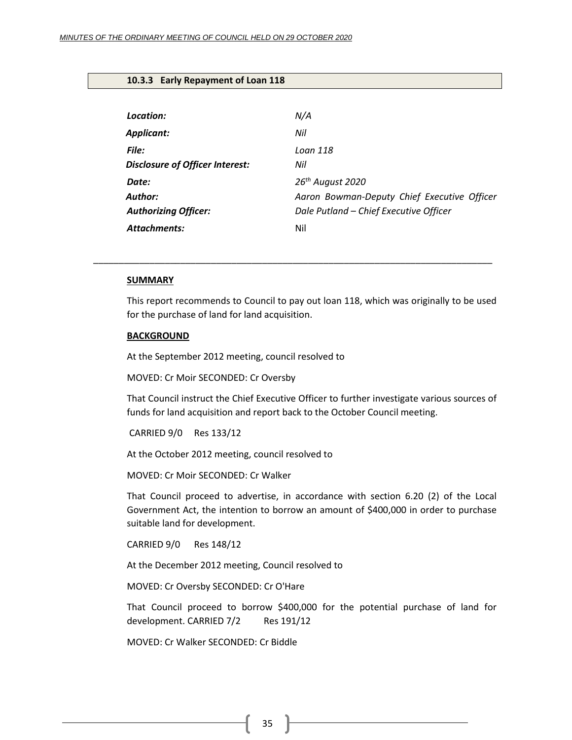## <span id="page-34-0"></span>**10.3.3 Early Repayment of Loan 118**

| Location:                              | N/A                                         |
|----------------------------------------|---------------------------------------------|
| Applicant:                             | Nil                                         |
| File:                                  | Loan 118                                    |
| <b>Disclosure of Officer Interest:</b> | Nil                                         |
| Date:                                  | 26 <sup>th</sup> August 2020                |
| Author:                                | Aaron Bowman-Deputy Chief Executive Officer |
| <b>Authorizing Officer:</b>            | Dale Putland - Chief Executive Officer      |
| <b>Attachments:</b>                    | Nil                                         |

#### **SUMMARY**

This report recommends to Council to pay out loan 118, which was originally to be used for the purchase of land for land acquisition.

\_\_\_\_\_\_\_\_\_\_\_\_\_\_\_\_\_\_\_\_\_\_\_\_\_\_\_\_\_\_\_\_\_\_\_\_\_\_\_\_\_\_\_\_\_\_\_\_\_\_\_\_\_\_\_\_\_\_\_\_\_\_\_\_\_\_\_\_\_\_\_\_\_\_\_\_\_\_

#### **BACKGROUND**

At the September 2012 meeting, council resolved to

MOVED: Cr Moir SECONDED: Cr Oversby

That Council instruct the Chief Executive Officer to further investigate various sources of funds for land acquisition and report back to the October Council meeting.

CARRIED 9/0 Res 133/12

At the October 2012 meeting, council resolved to

MOVED: Cr Moir SECONDED: Cr Walker

That Council proceed to advertise, in accordance with section 6.20 (2) of the Local Government Act, the intention to borrow an amount of \$400,000 in order to purchase suitable land for development.

CARRIED 9/0 Res 148/12

At the December 2012 meeting, Council resolved to

MOVED: Cr Oversby SECONDED: Cr O'Hare

That Council proceed to borrow \$400,000 for the potential purchase of land for development. CARRIED 7/2 Res 191/12

MOVED: Cr Walker SECONDED: Cr Biddle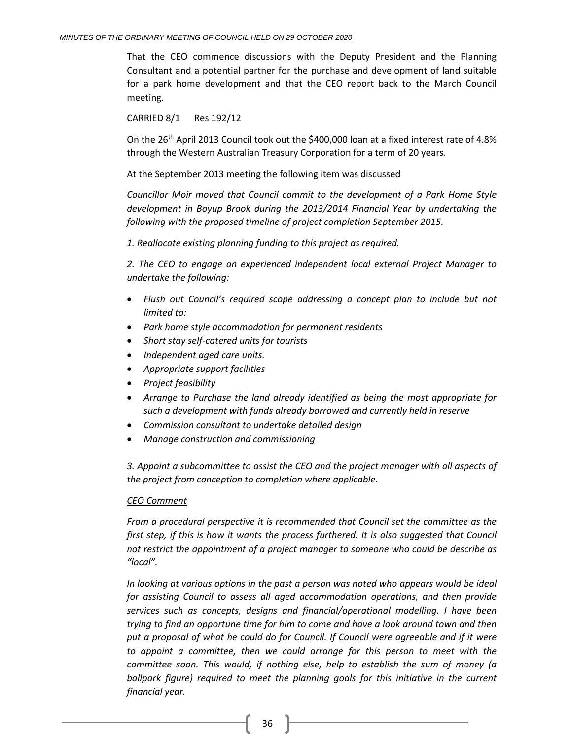That the CEO commence discussions with the Deputy President and the Planning Consultant and a potential partner for the purchase and development of land suitable for a park home development and that the CEO report back to the March Council meeting.

CARRIED 8/1 Res 192/12

On the 26<sup>th</sup> April 2013 Council took out the \$400,000 loan at a fixed interest rate of 4.8% through the Western Australian Treasury Corporation for a term of 20 years.

At the September 2013 meeting the following item was discussed

*Councillor Moir moved that Council commit to the development of a Park Home Style development in Boyup Brook during the 2013/2014 Financial Year by undertaking the following with the proposed timeline of project completion September 2015.* 

*1. Reallocate existing planning funding to this project as required.*

*2. The CEO to engage an experienced independent local external Project Manager to undertake the following:*

- *Flush out Council's required scope addressing a concept plan to include but not limited to:*
- *Park home style accommodation for permanent residents*
- *Short stay self-catered units for tourists*
- *Independent aged care units.*
- *Appropriate support facilities*
- *Project feasibility*
- *Arrange to Purchase the land already identified as being the most appropriate for such a development with funds already borrowed and currently held in reserve*
- *Commission consultant to undertake detailed design*
- *Manage construction and commissioning*

*3. Appoint a subcommittee to assist the CEO and the project manager with all aspects of the project from conception to completion where applicable.* 

## *CEO Comment*

*From a procedural perspective it is recommended that Council set the committee as the first step, if this is how it wants the process furthered. It is also suggested that Council not restrict the appointment of a project manager to someone who could be describe as "local".*

*In looking at various options in the past a person was noted who appears would be ideal for assisting Council to assess all aged accommodation operations, and then provide services such as concepts, designs and financial/operational modelling. I have been trying to find an opportune time for him to come and have a look around town and then put a proposal of what he could do for Council. If Council were agreeable and if it were to appoint a committee, then we could arrange for this person to meet with the committee soon. This would, if nothing else, help to establish the sum of money (a ballpark figure) required to meet the planning goals for this initiative in the current financial year.*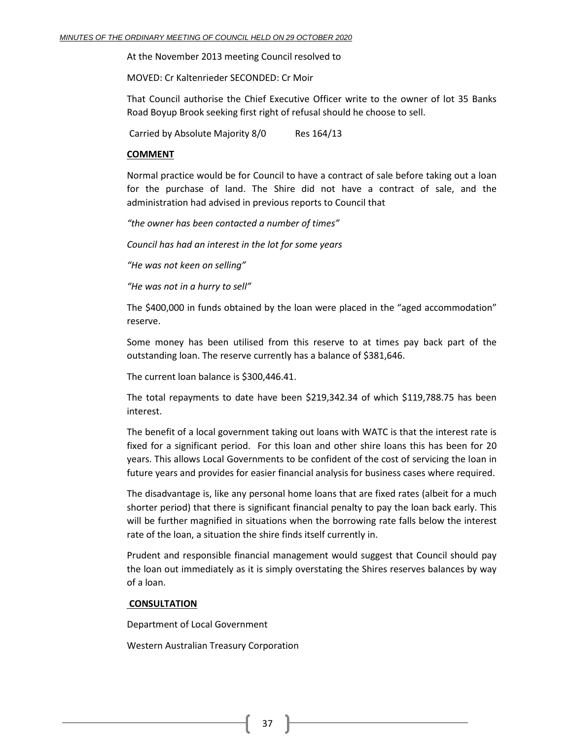At the November 2013 meeting Council resolved to

MOVED: Cr Kaltenrieder SECONDED: Cr Moir

That Council authorise the Chief Executive Officer write to the owner of lot 35 Banks Road Boyup Brook seeking first right of refusal should he choose to sell.

Carried by Absolute Majority 8/0 Res 164/13

#### **COMMENT**

Normal practice would be for Council to have a contract of sale before taking out a loan for the purchase of land. The Shire did not have a contract of sale, and the administration had advised in previous reports to Council that

*"the owner has been contacted a number of times"*

*Council has had an interest in the lot for some years*

*"He was not keen on selling"*

*"He was not in a hurry to sell"*

The \$400,000 in funds obtained by the loan were placed in the "aged accommodation" reserve.

Some money has been utilised from this reserve to at times pay back part of the outstanding loan. The reserve currently has a balance of \$381,646.

The current loan balance is \$300,446.41.

The total repayments to date have been \$219,342.34 of which \$119,788.75 has been interest.

The benefit of a local government taking out loans with WATC is that the interest rate is fixed for a significant period. For this loan and other shire loans this has been for 20 years. This allows Local Governments to be confident of the cost of servicing the loan in future years and provides for easier financial analysis for business cases where required.

The disadvantage is, like any personal home loans that are fixed rates (albeit for a much shorter period) that there is significant financial penalty to pay the loan back early. This will be further magnified in situations when the borrowing rate falls below the interest rate of the loan, a situation the shire finds itself currently in.

Prudent and responsible financial management would suggest that Council should pay the loan out immediately as it is simply overstating the Shires reserves balances by way of a loan.

#### **CONSULTATION**

Department of Local Government

Western Australian Treasury Corporation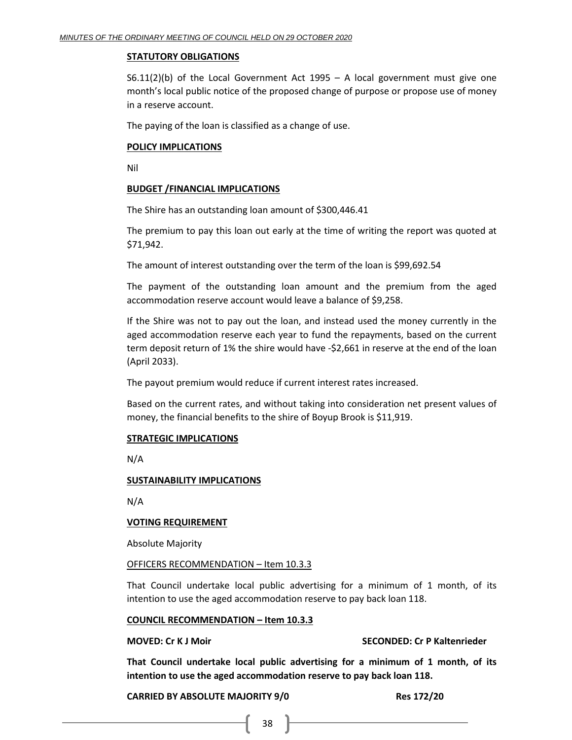## **STATUTORY OBLIGATIONS**

S6.11(2)(b) of the Local Government Act 1995 – A local government must give one month's local public notice of the proposed change of purpose or propose use of money in a reserve account.

The paying of the loan is classified as a change of use.

## **POLICY IMPLICATIONS**

Nil

## **BUDGET /FINANCIAL IMPLICATIONS**

The Shire has an outstanding loan amount of \$300,446.41

The premium to pay this loan out early at the time of writing the report was quoted at \$71,942.

The amount of interest outstanding over the term of the loan is \$99,692.54

The payment of the outstanding loan amount and the premium from the aged accommodation reserve account would leave a balance of \$9,258.

If the Shire was not to pay out the loan, and instead used the money currently in the aged accommodation reserve each year to fund the repayments, based on the current term deposit return of 1% the shire would have -\$2,661 in reserve at the end of the loan (April 2033).

The payout premium would reduce if current interest rates increased.

Based on the current rates, and without taking into consideration net present values of money, the financial benefits to the shire of Boyup Brook is \$11,919.

## **STRATEGIC IMPLICATIONS**

N/A

## **SUSTAINABILITY IMPLICATIONS**

N/A

## **VOTING REQUIREMENT**

Absolute Majority

## OFFICERS RECOMMENDATION – Item 10.3.3

That Council undertake local public advertising for a minimum of 1 month, of its intention to use the aged accommodation reserve to pay back loan 118.

## **COUNCIL RECOMMENDATION – Item 10.3.3**

## **MOVED: Cr K J Moir SECONDED: Cr P Kaltenrieder**

**That Council undertake local public advertising for a minimum of 1 month, of its intention to use the aged accommodation reserve to pay back loan 118.**

## **CARRIED BY ABSOLUTE MAJORITY 9/0 Res 172/20**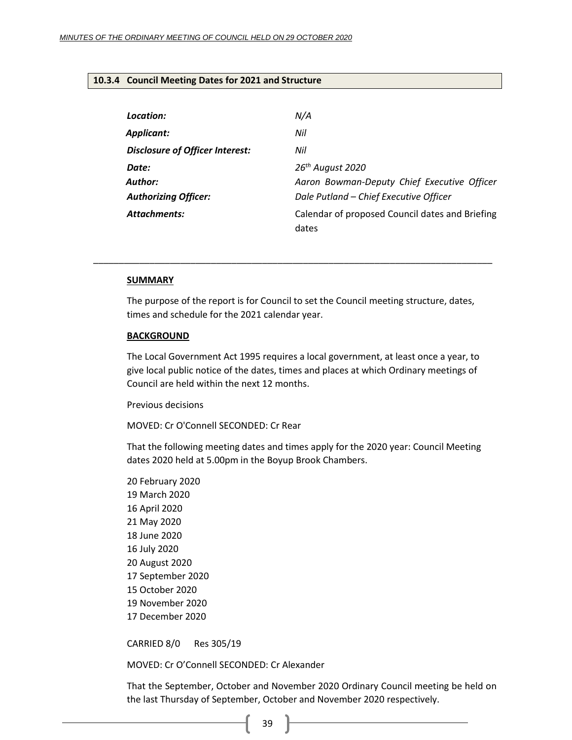## <span id="page-38-0"></span>**10.3.4 Council Meeting Dates for 2021 and Structure**

| Location:                              | N/A                                                      |
|----------------------------------------|----------------------------------------------------------|
| Applicant:                             | Nil                                                      |
| <b>Disclosure of Officer Interest:</b> | Nil                                                      |
| Date:                                  | 26 <sup>th</sup> August 2020                             |
| Author:                                | Aaron Bowman-Deputy Chief Executive Officer              |
| <b>Authorizing Officer:</b>            | Dale Putland - Chief Executive Officer                   |
| <b>Attachments:</b>                    | Calendar of proposed Council dates and Briefing<br>dates |

#### **SUMMARY**

The purpose of the report is for Council to set the Council meeting structure, dates, times and schedule for the 2021 calendar year.

\_\_\_\_\_\_\_\_\_\_\_\_\_\_\_\_\_\_\_\_\_\_\_\_\_\_\_\_\_\_\_\_\_\_\_\_\_\_\_\_\_\_\_\_\_\_\_\_\_\_\_\_\_\_\_\_\_\_\_\_\_\_\_\_\_\_\_\_\_\_\_\_\_\_\_\_\_\_

#### **BACKGROUND**

The Local Government Act 1995 requires a local government, at least once a year, to give local public notice of the dates, times and places at which Ordinary meetings of Council are held within the next 12 months.

Previous decisions

MOVED: Cr O'Connell SECONDED: Cr Rear

That the following meeting dates and times apply for the 2020 year: Council Meeting dates 2020 held at 5.00pm in the Boyup Brook Chambers.

CARRIED 8/0 Res 305/19

MOVED: Cr O'Connell SECONDED: Cr Alexander

That the September, October and November 2020 Ordinary Council meeting be held on the last Thursday of September, October and November 2020 respectively.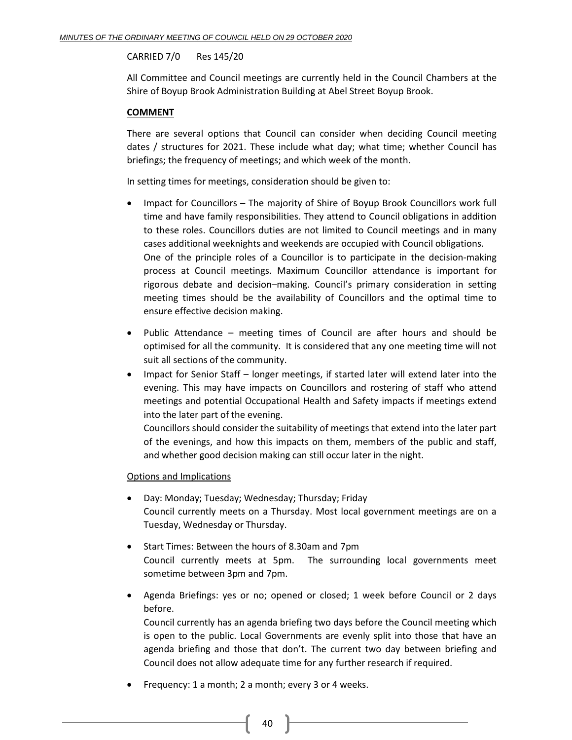## CARRIED 7/0 Res 145/20

All Committee and Council meetings are currently held in the Council Chambers at the Shire of Boyup Brook Administration Building at Abel Street Boyup Brook.

## **COMMENT**

There are several options that Council can consider when deciding Council meeting dates / structures for 2021. These include what day; what time; whether Council has briefings; the frequency of meetings; and which week of the month.

In setting times for meetings, consideration should be given to:

- Impact for Councillors The majority of Shire of Boyup Brook Councillors work full time and have family responsibilities. They attend to Council obligations in addition to these roles. Councillors duties are not limited to Council meetings and in many cases additional weeknights and weekends are occupied with Council obligations. One of the principle roles of a Councillor is to participate in the decision-making process at Council meetings. Maximum Councillor attendance is important for rigorous debate and decision–making. Council's primary consideration in setting meeting times should be the availability of Councillors and the optimal time to ensure effective decision making.
- Public Attendance meeting times of Council are after hours and should be optimised for all the community. It is considered that any one meeting time will not suit all sections of the community.
- Impact for Senior Staff longer meetings, if started later will extend later into the evening. This may have impacts on Councillors and rostering of staff who attend meetings and potential Occupational Health and Safety impacts if meetings extend into the later part of the evening.

Councillors should consider the suitability of meetings that extend into the later part of the evenings, and how this impacts on them, members of the public and staff, and whether good decision making can still occur later in the night.

## Options and Implications

- Day: Monday; Tuesday; Wednesday; Thursday; Friday Council currently meets on a Thursday. Most local government meetings are on a Tuesday, Wednesday or Thursday.
- Start Times: Between the hours of 8.30am and 7pm Council currently meets at 5pm. The surrounding local governments meet sometime between 3pm and 7pm.
- Agenda Briefings: yes or no; opened or closed; 1 week before Council or 2 days before.

Council currently has an agenda briefing two days before the Council meeting which is open to the public. Local Governments are evenly split into those that have an agenda briefing and those that don't. The current two day between briefing and Council does not allow adequate time for any further research if required.

• Frequency: 1 a month; 2 a month; every 3 or 4 weeks.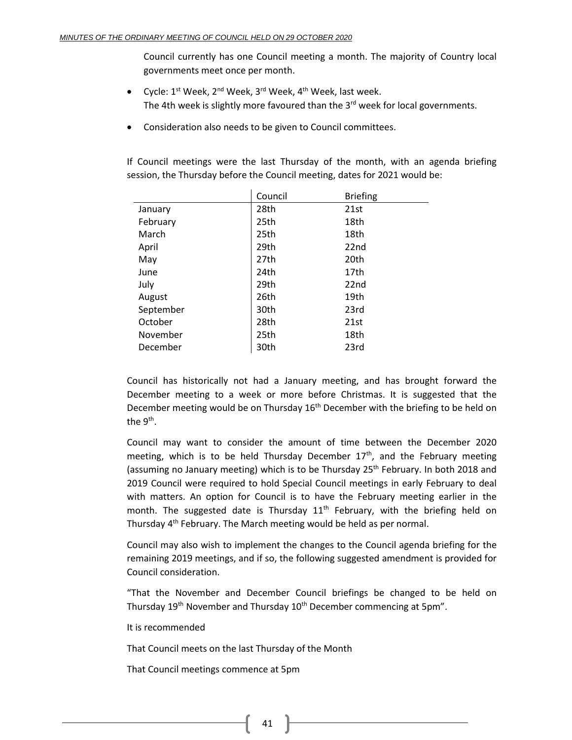Council currently has one Council meeting a month. The majority of Country local governments meet once per month.

- Cycle: 1<sup>st</sup> Week, 2<sup>nd</sup> Week, 3<sup>rd</sup> Week, 4<sup>th</sup> Week, last week. The 4th week is slightly more favoured than the 3<sup>rd</sup> week for local governments.
- Consideration also needs to be given to Council committees.

If Council meetings were the last Thursday of the month, with an agenda briefing session, the Thursday before the Council meeting, dates for 2021 would be:

|           | Council | <b>Briefing</b>  |
|-----------|---------|------------------|
| January   | 28th    | 21st             |
| February  | 25th    | 18th             |
| March     | 25th    | 18th             |
| April     | 29th    | 22 <sub>nd</sub> |
| May       | 27th    | 20th             |
| June      | 24th    | 17th             |
| July      | 29th    | 22nd             |
| August    | 26th    | 19th             |
| September | 30th    | 23rd             |
| October   | 28th    | 21st             |
| November  | 25th    | 18th             |
| December  | 30th    | 23rd             |

Council has historically not had a January meeting, and has brought forward the December meeting to a week or more before Christmas. It is suggested that the December meeting would be on Thursday  $16<sup>th</sup>$  December with the briefing to be held on the  $9^{\text{th}}$ .

Council may want to consider the amount of time between the December 2020 meeting, which is to be held Thursday December 17<sup>th</sup>, and the February meeting (assuming no January meeting) which is to be Thursday  $25<sup>th</sup>$  February. In both 2018 and 2019 Council were required to hold Special Council meetings in early February to deal with matters. An option for Council is to have the February meeting earlier in the month. The suggested date is Thursday  $11<sup>th</sup>$  February, with the briefing held on Thursday 4<sup>th</sup> February. The March meeting would be held as per normal.

Council may also wish to implement the changes to the Council agenda briefing for the remaining 2019 meetings, and if so, the following suggested amendment is provided for Council consideration.

"That the November and December Council briefings be changed to be held on Thursday 19<sup>th</sup> November and Thursday 10<sup>th</sup> December commencing at 5pm".

It is recommended

That Council meets on the last Thursday of the Month

That Council meetings commence at 5pm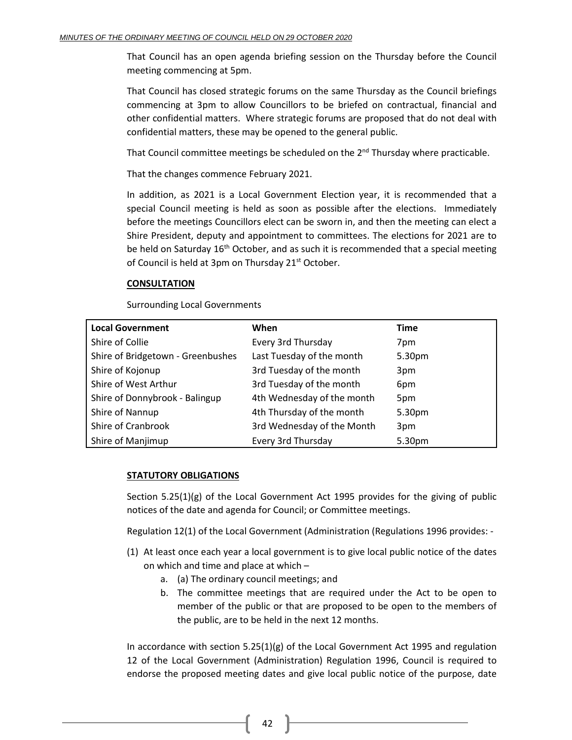That Council has an open agenda briefing session on the Thursday before the Council meeting commencing at 5pm.

That Council has closed strategic forums on the same Thursday as the Council briefings commencing at 3pm to allow Councillors to be briefed on contractual, financial and other confidential matters. Where strategic forums are proposed that do not deal with confidential matters, these may be opened to the general public.

That Council committee meetings be scheduled on the  $2<sup>nd</sup>$  Thursday where practicable.

That the changes commence February 2021.

In addition, as 2021 is a Local Government Election year, it is recommended that a special Council meeting is held as soon as possible after the elections. Immediately before the meetings Councillors elect can be sworn in, and then the meeting can elect a Shire President, deputy and appointment to committees. The elections for 2021 are to be held on Saturday  $16<sup>th</sup>$  October, and as such it is recommended that a special meeting of Council is held at 3pm on Thursday 21<sup>st</sup> October.

## **CONSULTATION**

Surrounding Local Governments

| <b>Local Government</b>           | When                       | <b>Time</b> |
|-----------------------------------|----------------------------|-------------|
| Shire of Collie                   | Every 3rd Thursday         | 7pm         |
| Shire of Bridgetown - Greenbushes | Last Tuesday of the month  | 5.30pm      |
| Shire of Kojonup                  | 3rd Tuesday of the month   | 3pm         |
| Shire of West Arthur              | 3rd Tuesday of the month   | 6pm         |
| Shire of Donnybrook - Balingup    | 4th Wednesday of the month | 5pm         |
| Shire of Nannup                   | 4th Thursday of the month  | 5.30pm      |
| Shire of Cranbrook                | 3rd Wednesday of the Month | 3pm         |
| Shire of Manjimup                 | Every 3rd Thursday         | 5.30pm      |

## **STATUTORY OBLIGATIONS**

Section 5.25(1)(g) of the Local Government Act 1995 provides for the giving of public notices of the date and agenda for Council; or Committee meetings.

Regulation 12(1) of the Local Government (Administration (Regulations 1996 provides: -

- (1) At least once each year a local government is to give local public notice of the dates on which and time and place at which –
	- a. (a) The ordinary council meetings; and
	- b. The committee meetings that are required under the Act to be open to member of the public or that are proposed to be open to the members of the public, are to be held in the next 12 months.

In accordance with section  $5.25(1)(g)$  of the Local Government Act 1995 and regulation 12 of the Local Government (Administration) Regulation 1996, Council is required to endorse the proposed meeting dates and give local public notice of the purpose, date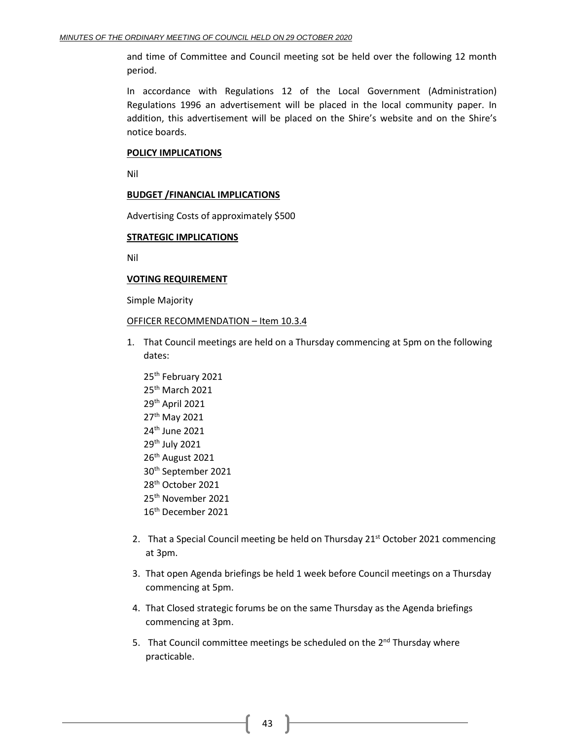and time of Committee and Council meeting sot be held over the following 12 month period.

In accordance with Regulations 12 of the Local Government (Administration) Regulations 1996 an advertisement will be placed in the local community paper. In addition, this advertisement will be placed on the Shire's website and on the Shire's notice boards.

#### **POLICY IMPLICATIONS**

Nil

## **BUDGET /FINANCIAL IMPLICATIONS**

Advertising Costs of approximately \$500

## **STRATEGIC IMPLICATIONS**

Nil

#### **VOTING REQUIREMENT**

Simple Majority

#### OFFICER RECOMMENDATION – Item 10.3.4

- 1. That Council meetings are held on a Thursday commencing at 5pm on the following dates:
	- 25<sup>th</sup> February 2021 25th March 2021 29th April 2021 27th May 2021 24th June 2021 29<sup>th</sup> July 2021 26<sup>th</sup> August 2021 30th September 2021 28<sup>th</sup> October 2021 25th November 2021 16th December 2021
- 2. That a Special Council meeting be held on Thursday 21<sup>st</sup> October 2021 commencing at 3pm.
- 3. That open Agenda briefings be held 1 week before Council meetings on a Thursday commencing at 5pm.
- 4. That Closed strategic forums be on the same Thursday as the Agenda briefings commencing at 3pm.
- 5. That Council committee meetings be scheduled on the 2<sup>nd</sup> Thursday where practicable.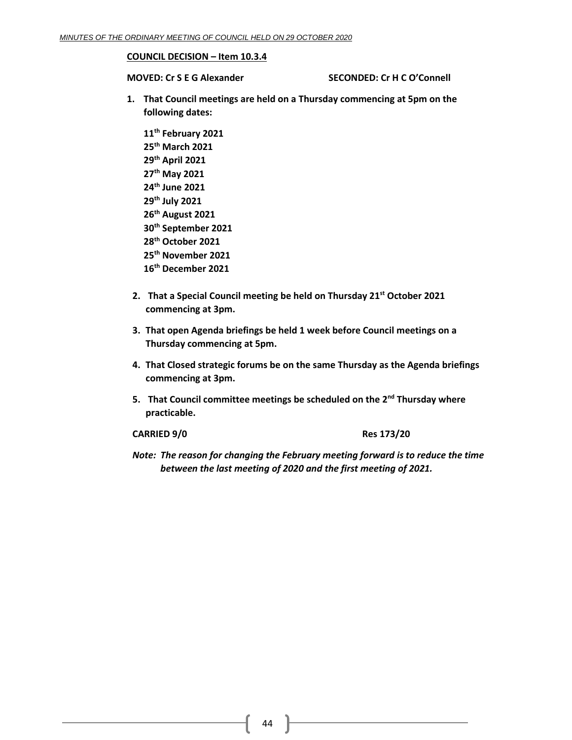#### **COUNCIL DECISION – Item 10.3.4**

**MOVED: Cr S E G Alexander SECONDED: Cr H C O'Connell**

- **1. That Council meetings are held on a Thursday commencing at 5pm on the following dates:**
	- **11th February 2021 25th March 2021 29th April 2021 27th May 2021 24th June 2021 29th July 2021 26th August 2021 30th September 2021 28th October 2021 25th November 2021 16th December 2021**
- **2. That a Special Council meeting be held on Thursday 21st October 2021 commencing at 3pm.**
- **3. That open Agenda briefings be held 1 week before Council meetings on a Thursday commencing at 5pm.**
- **4. That Closed strategic forums be on the same Thursday as the Agenda briefings commencing at 3pm.**
- **5. That Council committee meetings be scheduled on the 2nd Thursday where practicable.**

**CARRIED 9/0 Res 173/20**

*Note: The reason for changing the February meeting forward is to reduce the time between the last meeting of 2020 and the first meeting of 2021.*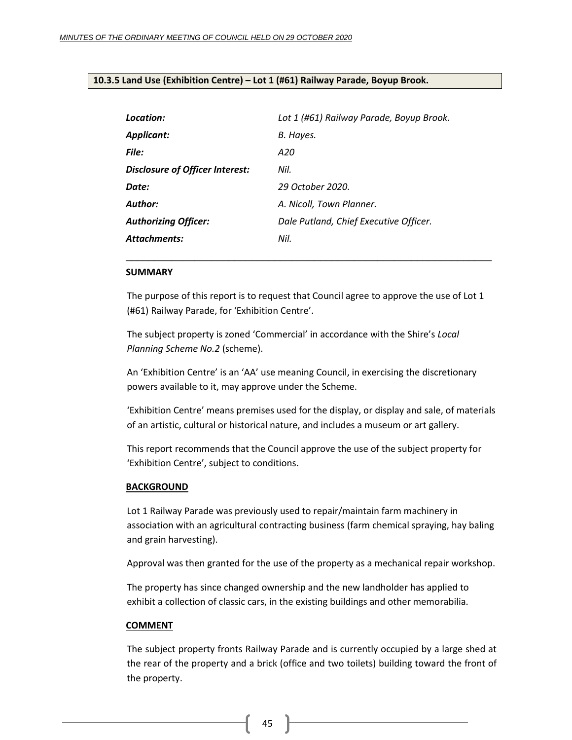## <span id="page-44-0"></span>**10.3.5 Land Use (Exhibition Centre) – Lot 1 (#61) Railway Parade, Boyup Brook.**

| Location:                       | Lot 1 (#61) Railway Parade, Boyup Brook. |
|---------------------------------|------------------------------------------|
| Applicant:                      | B. Hayes.                                |
| File:                           | A20                                      |
| Disclosure of Officer Interest: | Nil.                                     |
| Date:                           | 29 October 2020.                         |
| <b>Author:</b>                  | A. Nicoll, Town Planner.                 |
| <b>Authorizing Officer:</b>     | Dale Putland, Chief Executive Officer.   |
| <b>Attachments:</b>             | Nil.                                     |
|                                 |                                          |

#### **SUMMARY**

The purpose of this report is to request that Council agree to approve the use of Lot 1 (#61) Railway Parade, for 'Exhibition Centre'.

\_\_\_\_\_\_\_\_\_\_\_\_\_\_\_\_\_\_\_\_\_\_\_\_\_\_\_\_\_\_\_\_\_\_\_\_\_\_\_\_\_\_\_\_\_\_\_\_\_\_\_\_\_\_\_\_\_\_\_\_\_\_\_\_

The subject property is zoned 'Commercial' in accordance with the Shire's *Local Planning Scheme No.2* (scheme).

An 'Exhibition Centre' is an 'AA' use meaning Council, in exercising the discretionary powers available to it, may approve under the Scheme.

'Exhibition Centre' means premises used for the display, or display and sale, of materials of an artistic, cultural or historical nature, and includes a museum or art gallery.

This report recommends that the Council approve the use of the subject property for 'Exhibition Centre', subject to conditions.

#### **BACKGROUND**

Lot 1 Railway Parade was previously used to repair/maintain farm machinery in association with an agricultural contracting business (farm chemical spraying, hay baling and grain harvesting).

Approval was then granted for the use of the property as a mechanical repair workshop.

The property has since changed ownership and the new landholder has applied to exhibit a collection of classic cars, in the existing buildings and other memorabilia.

#### **COMMENT**

The subject property fronts Railway Parade and is currently occupied by a large shed at the rear of the property and a brick (office and two toilets) building toward the front of the property.

45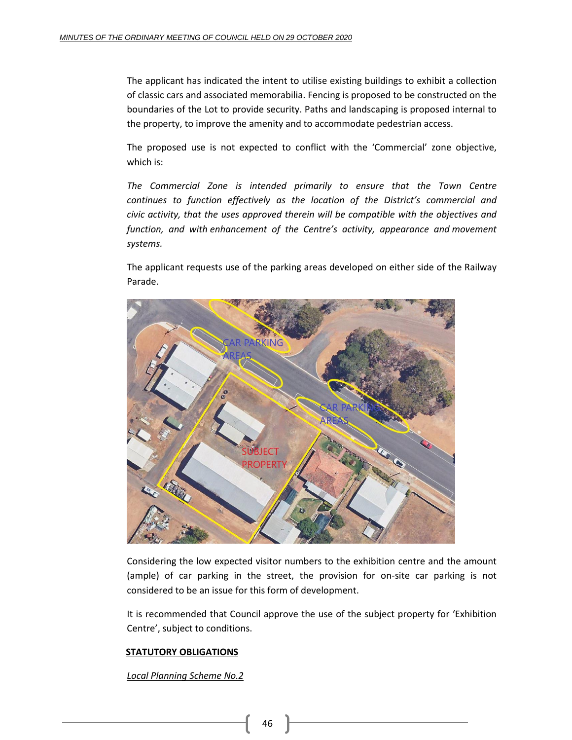The applicant has indicated the intent to utilise existing buildings to exhibit a collection of classic cars and associated memorabilia. Fencing is proposed to be constructed on the boundaries of the Lot to provide security. Paths and landscaping is proposed internal to the property, to improve the amenity and to accommodate pedestrian access.

The proposed use is not expected to conflict with the 'Commercial' zone objective, which is:

*The Commercial Zone is intended primarily to ensure that the Town Centre continues to function effectively as the location of the District's commercial and civic activity, that the uses approved therein will be compatible with the objectives and function, and with enhancement of the Centre's activity, appearance and movement systems.*

The applicant requests use of the parking areas developed on either side of the Railway Parade.



Considering the low expected visitor numbers to the exhibition centre and the amount (ample) of car parking in the street, the provision for on-site car parking is not considered to be an issue for this form of development.

It is recommended that Council approve the use of the subject property for 'Exhibition Centre', subject to conditions.

## **STATUTORY OBLIGATIONS**

*Local Planning Scheme No.2*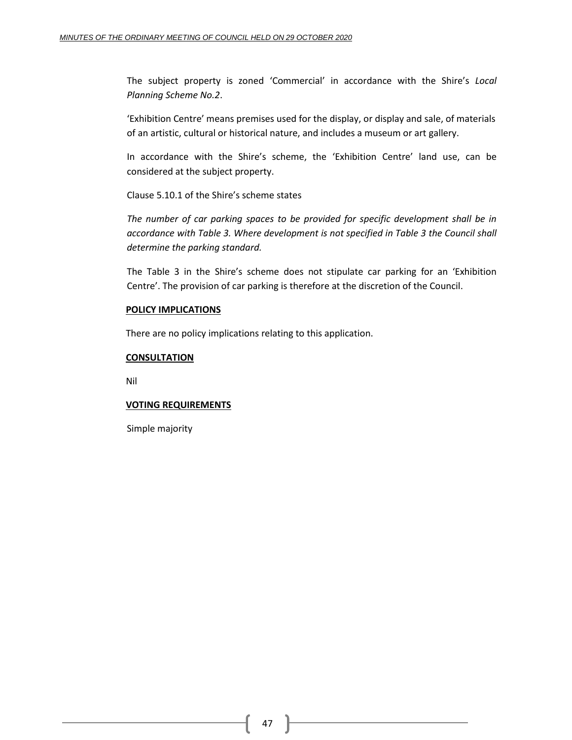The subject property is zoned 'Commercial' in accordance with the Shire's *Local Planning Scheme No.2*.

'Exhibition Centre' means premises used for the display, or display and sale, of materials of an artistic, cultural or historical nature, and includes a museum or art gallery.

In accordance with the Shire's scheme, the 'Exhibition Centre' land use, can be considered at the subject property.

Clause 5.10.1 of the Shire's scheme states

*The number of car parking spaces to be provided for specific development shall be in accordance with Table 3. Where development is not specified in Table 3 the Council shall determine the parking standard.*

The Table 3 in the Shire's scheme does not stipulate car parking for an 'Exhibition Centre'. The provision of car parking is therefore at the discretion of the Council.

## **POLICY IMPLICATIONS**

There are no policy implications relating to this application.

## **CONSULTATION**

Nil

## **VOTING REQUIREMENTS**

Simple majority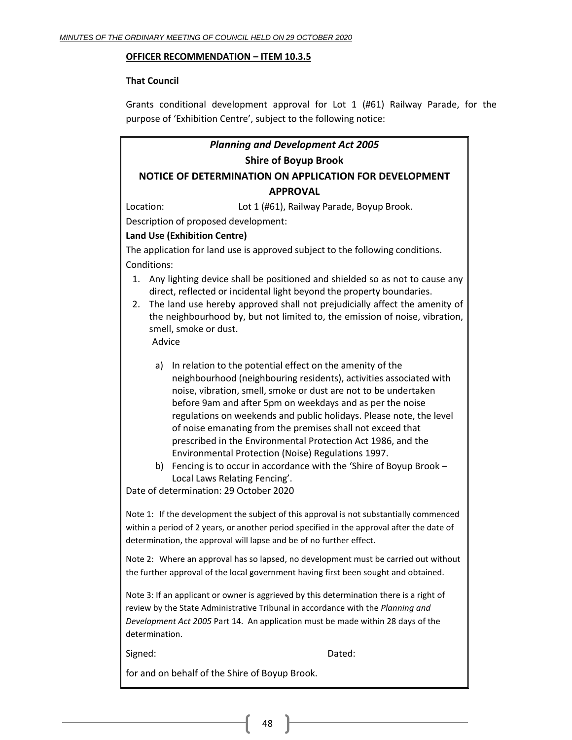## **OFFICER RECOMMENDATION – ITEM 10.3.5**

## **That Council**

Grants conditional development approval for Lot 1 (#61) Railway Parade, for the purpose of 'Exhibition Centre', subject to the following notice:

# *Planning and Development Act 2005* **Shire of Boyup Brook NOTICE OF DETERMINATION ON APPLICATION FOR DEVELOPMENT**

## **APPROVAL**

Location: Lot 1 (#61), Railway Parade, Boyup Brook.

Description of proposed development:

## **Land Use (Exhibition Centre)**

The application for land use is approved subject to the following conditions. Conditions:

- 1. Any lighting device shall be positioned and shielded so as not to cause any direct, reflected or incidental light beyond the property boundaries.
- 2. The land use hereby approved shall not prejudicially affect the amenity of the neighbourhood by, but not limited to, the emission of noise, vibration, smell, smoke or dust. Advice
	-
	- a) In relation to the potential effect on the amenity of the neighbourhood (neighbouring residents), activities associated with noise, vibration, smell, smoke or dust are not to be undertaken before 9am and after 5pm on weekdays and as per the noise regulations on weekends and public holidays. Please note, the level of noise emanating from the premises shall not exceed that prescribed in the Environmental Protection Act 1986, and the Environmental Protection (Noise) Regulations 1997.
	- b) Fencing is to occur in accordance with the 'Shire of Boyup Brook Local Laws Relating Fencing'.

Date of determination: 29 October 2020

Note 1: If the development the subject of this approval is not substantially commenced within a period of 2 years, or another period specified in the approval after the date of determination, the approval will lapse and be of no further effect.

Note 2: Where an approval has so lapsed, no development must be carried out without the further approval of the local government having first been sought and obtained.

Note 3: If an applicant or owner is aggrieved by this determination there is a right of review by the State Administrative Tribunal in accordance with the *Planning and Development Act 2005* Part 14. An application must be made within 28 days of the determination.

Signed: Dated:

for and on behalf of the Shire of Boyup Brook.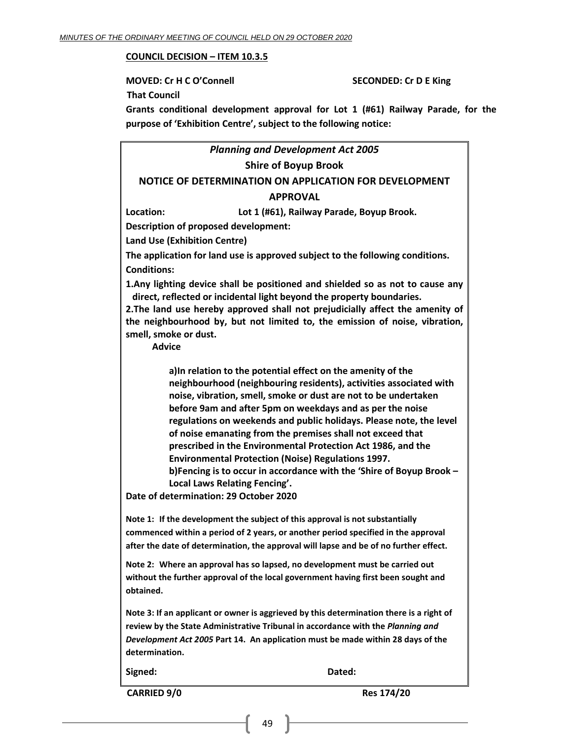#### **COUNCIL DECISION – ITEM 10.3.5**

**MOVED: Cr H C O'Connell SECONDED: Cr D E King That Council Grants conditional development approval for Lot 1 (#61) Railway Parade, for the purpose of 'Exhibition Centre', subject to the following notice:**

## *Planning and Development Act 2005* **Shire of Boyup Brook**

## **NOTICE OF DETERMINATION ON APPLICATION FOR DEVELOPMENT**

## **APPROVAL**

**Location: Lot 1 (#61), Railway Parade, Boyup Brook.**

**Description of proposed development:**

**Land Use (Exhibition Centre)**

**The application for land use is approved subject to the following conditions. Conditions:**

**1.Any lighting device shall be positioned and shielded so as not to cause any direct, reflected or incidental light beyond the property boundaries.**

**2.The land use hereby approved shall not prejudicially affect the amenity of the neighbourhood by, but not limited to, the emission of noise, vibration, smell, smoke or dust.** 

**Advice**

**a)In relation to the potential effect on the amenity of the neighbourhood (neighbouring residents), activities associated with noise, vibration, smell, smoke or dust are not to be undertaken before 9am and after 5pm on weekdays and as per the noise regulations on weekends and public holidays. Please note, the level of noise emanating from the premises shall not exceed that prescribed in the Environmental Protection Act 1986, and the Environmental Protection (Noise) Regulations 1997. b)Fencing is to occur in accordance with the 'Shire of Boyup Brook –**

**Local Laws Relating Fencing'.**

**Date of determination: 29 October 2020**

**Note 1: If the development the subject of this approval is not substantially commenced within a period of 2 years, or another period specified in the approval after the date of determination, the approval will lapse and be of no further effect.**

**Note 2: Where an approval has so lapsed, no development must be carried out without the further approval of the local government having first been sought and obtained.** 

**Note 3: If an applicant or owner is aggrieved by this determination there is a right of review by the State Administrative Tribunal in accordance with the** *Planning and Development Act 2005* **Part 14. An application must be made within 28 days of the determination.**

**Signed: Dated:**

**CARRIED 9/0 Res 174/20**